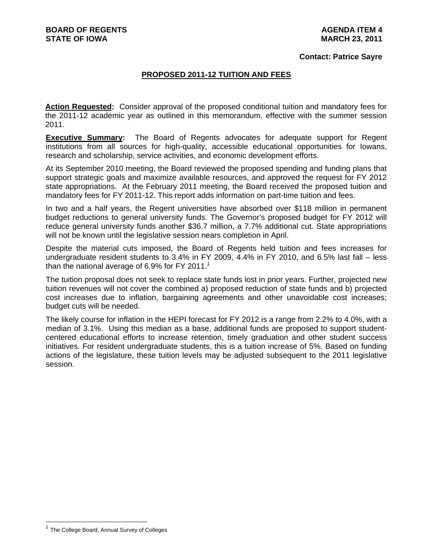### **Contact: Patrice Sayre**

### **PROPOSED 2011-12 TUITION AND FEES**

**Action Requested:** Consider approval of the proposed conditional tuition and mandatory fees for the 2011-12 academic year as outlined in this memorandum, effective with the summer session 2011.

**Executive Summary:** The Board of Regents advocates for adequate support for Regent institutions from all sources for high-quality, accessible educational opportunities for Iowans, research and scholarship, service activities, and economic development efforts.

At its September 2010 meeting, the Board reviewed the proposed spending and funding plans that support strategic goals and maximize available resources, and approved the request for FY 2012 state appropriations. At the February 2011 meeting, the Board received the proposed tuition and mandatory fees for FY 2011-12. This report adds information on part-time tuition and fees.

In two and a half years, the Regent universities have absorbed over \$118 million in permanent budget reductions to general university funds. The Governor's proposed budget for FY 2012 will reduce general university funds another \$36.7 million, a 7.7% additional cut. State appropriations will not be known until the legislative session nears completion in April.

Despite the material cuts imposed, the Board of Regents held tuition and fees increases for undergraduate resident students to 3.4% in FY 2009, 4.4% in FY 2010, and 6.5% last fall – less than the national average of 6.9% for FY 2011.<sup>1</sup>

The tuition proposal does not seek to replace state funds lost in prior years. Further, projected new tuition revenues will not cover the combined a) proposed reduction of state funds and b) projected cost increases due to inflation, bargaining agreements and other unavoidable cost increases; budget cuts will be needed.

The likely course for inflation in the HEPI forecast for FY 2012 is a range from 2.2% to 4.0%, with a median of 3.1%. Using this median as a base, additional funds are proposed to support studentcentered educational efforts to increase retention, timely graduation and other student success initiatives. For resident undergraduate students, this is a tuition increase of 5%. Based on funding actions of the legislature, these tuition levels may be adjusted subsequent to the 2011 legislative session.

<sup>&</sup>lt;sup>1</sup> The College Board, Annual Survey of Colleges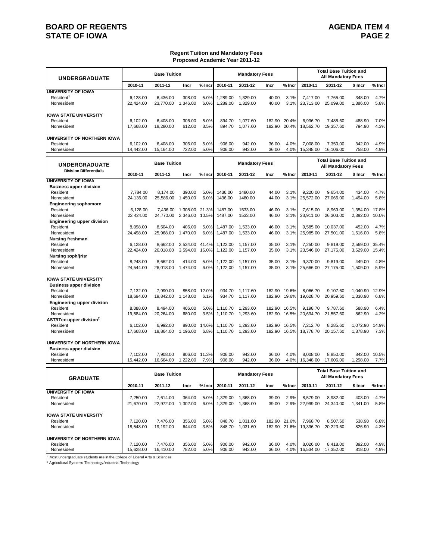# **BOARD OF REGENTS**<br>STATE OF IOWA **AGENDA ITEM 4 STATE OF IOWA**

### **Regent Tuition and Mandatory Fees Proposed Academic Year 2011-12**

| <b>UNDERGRADUATE</b>                                                                         |                                    | <b>Base Tuition</b>                |                                |                       |                                  | <b>Mandatory Fees</b>            |                            |                              |                                    | <b>Total Base Tuition and</b><br><b>All Mandatory Fees</b> |                                |                       |
|----------------------------------------------------------------------------------------------|------------------------------------|------------------------------------|--------------------------------|-----------------------|----------------------------------|----------------------------------|----------------------------|------------------------------|------------------------------------|------------------------------------------------------------|--------------------------------|-----------------------|
|                                                                                              | 2010-11                            | 2011-12                            | Incr                           | % Incr                | 2010-11                          | 2011-12                          | Incr                       | % Incr                       | 2010-11                            | 2011-12                                                    | \$ Incr                        | % Incr                |
| UNIVERSITY OF IOWA<br>Resident <sup>1</sup><br>Nonresident                                   | 6,128.00<br>22,424.00              | 6,436.00<br>23,770.00              | 308.00<br>1,346.00             | 5.0%<br>6.0%          | 1,289.00<br>1.289.00             | 1,329.00<br>1,329.00             | 40.00<br>40.00             | 3.1%<br>3.1%                 | 7,417.00<br>23,713.00              | 7,765.00<br>25,099.00                                      | 348.00<br>1,386.00             | 4.7%<br>5.8%          |
| <b>IOWA STATE UNIVERSITY</b><br>Resident<br>Nonresident                                      | 6,102.00<br>17,668.00              | 6,408.00<br>18,280.00              | 306.00<br>612.00               | 5.0%<br>3.5%          | 894.70<br>894.70                 | 1,077.60<br>1,077.60             | 182.90<br>182.90           | 20.4%<br>20.4%               | 6,996.70<br>18,562.70              | 7,485.60<br>19,357.60                                      | 488.90<br>794.90               | 7.0%<br>4.3%          |
| UNIVERSITY OF NORTHERN IOWA<br>Resident<br>Nonresident                                       | 6,102.00<br>14,442.00              | 6.408.00<br>15,164.00              | 306.00<br>722.00               | 5.0%<br>5.0%          | 906.00<br>906.00                 | 942.00<br>942.00                 | 36.00<br>36.00             | 4.0%<br>4.0%                 | 7,008.00<br>15,348.00              | 7,350.00<br>16,106.00                                      | 342.00<br>758.00               | 4.9%<br>4.9%          |
| <b>UNDERGRADUATE</b>                                                                         |                                    | <b>Base Tuition</b>                |                                |                       |                                  | <b>Mandatory Fees</b>            |                            |                              |                                    | <b>Total Base Tuition and</b><br><b>All Mandatory Fees</b> |                                |                       |
| <b>Division Differentials</b>                                                                | 2010-11                            | 2011-12                            | Incr                           | % Incr                | 2010-11                          | 2011-12                          | Incr                       | % Incr                       | 2010-11                            | 2011-12                                                    | \$ Incr                        | % Incr                |
| <b>UNIVERSITY OF IOWA</b><br><b>Business upper division</b><br>Resident<br>Nonresident       | 7,784.00<br>24,136.00              | 8,174.00<br>25,586.00              | 390.00<br>1,450.00             | 5.0%<br>6.0%          | 1436.00<br>1436.00               | 1480.00<br>1480.00               | 44.00<br>44.00             | 3.1%<br>3.1%                 | 9,220.00<br>25,572.00              | 9,654.00<br>27,066.00                                      | 434.00<br>1,494.00             | 4.7%<br>5.8%          |
| <b>Engineering sophomore</b><br>Resident<br>Nonresident<br><b>Engineering upper division</b> | 6,128.00<br>22,424.00              | 7,436.00<br>24,770.00              | 1,308.00<br>2,346.00           | 21.3%<br>10.5%        | 1487.00<br>1487.00               | 1533.00<br>1533.00               | 46.00<br>46.00             | 3.1%<br>3.1%                 | 7,615.00<br>23,911.00              | 8,969.00<br>26,303.00                                      | 1,354.00<br>2,392.00           | 17.8%<br>10.0%        |
| Resident<br>Nonresident<br>Nursing freshman<br>Resident                                      | 8,098.00<br>24,498.00<br>6,128.00  | 8,504.00<br>25,968.00<br>8,662.00  | 406.00<br>1,470.00<br>2.534.00 | 5.0%<br>6.0%<br>41.4% | 1,487.00<br>1,487.00<br>1,122.00 | 1,533.00<br>1,533.00<br>1,157.00 | 46.00<br>46.00<br>35.00    | 3.1%<br>3.1%<br>3.1%         | 9,585.00<br>25,985.00<br>7,250.00  | 10,037.00<br>27,501.00<br>9,819.00                         | 452.00<br>1,516.00<br>2,569.00 | 4.7%<br>5.8%<br>35.4% |
| Nonresident<br>Nursing soph/jr/sr<br>Resident                                                | 22,424.00<br>8,248.00              | 26,018.00<br>8,662.00              | 3,594.00 16.0%<br>414.00       | 5.0%                  | 1,122.00<br>1,122.00             | 1,157.00<br>1,157.00             | 35.00<br>35.00             | 3.1%<br>3.1%                 | 23,546.00<br>9,370.00              | 27,175.00<br>9,819.00                                      | 3,629.00<br>449.00             | 15.4%<br>4.8%         |
| Nonresident<br>IOWA STATE UNIVERSITY<br><b>Business upper division</b><br>Resident           | 24,544.00<br>7,132.00              | 26,018.00<br>7,990.00              | 1,474.00<br>858.00             | 6.0%<br>12.0%         | 934.70                           | 1,122.00 1,157.00<br>1,117.60    | 35.00<br>182.90            | 3.1%<br>19.6%                | 25,666.00<br>8,066.70              | 27,175.00<br>9,107.60                                      | 1,509.00<br>1,040.90           | 5.9%<br>12.9%         |
| Nonresident<br><b>Engineering upper division</b><br>Resident<br>Nonresident                  | 18,694.00<br>8,088.00<br>19,584.00 | 19,842.00<br>8,494.00<br>20,264.00 | 1,148.00<br>406.00<br>680.00   | 6.1%<br>5.0%<br>3.5%  | 934.70<br>1,110.70<br>1,110.70   | 1,117.60<br>1,293.60<br>1,293.60 | 182.90<br>182.90<br>182.90 | 19.6%<br>16.5%<br>16.5%      | 19,628.70<br>9,198.70<br>20,694.70 | 20,959.60<br>9,787.60                                      | 1,330.90<br>588.90<br>862.90   | 6.8%<br>6.4%<br>4.2%  |
| AST/ITec upper division <sup>2</sup><br>Resident<br>Nonresident                              | 6,102.00<br>17,668.00              | 6,992.00<br>18,864.00              | 1,196.00                       | 890.00 14.6%<br>6.8%  | 1,110.70<br>1,110.70             | 1,293.60<br>1,293.60             | 182.90<br>182.90           | 16.5%<br>16.5%               | 7,212.70<br>18,778.70              | 21,557.60<br>8,285.60<br>20,157.60                         | 1,072.90<br>1,378.90           | 14.9%<br>7.3%         |
| UNIVERSITY OF NORTHERN IOWA<br><b>Business upper division</b><br>Resident                    |                                    |                                    |                                |                       |                                  |                                  |                            |                              |                                    | 8.850.00                                                   |                                |                       |
| Nonresident                                                                                  | 7,102.00<br>15,442.00              | 7,908.00<br>16,664.00              | 806.00<br>1,222.00             | 11.3%<br>7.9%         | 906.00<br>906.00                 | 942.00<br>942.00                 | 36.00<br>36.00             | 4.0%<br>4.0%                 | 8,008.00<br>16,348.00              | 17,606.00                                                  | 842.00<br>1,258.00             | 10.5%<br>7.7%         |
| <b>GRADUATE</b>                                                                              |                                    | <b>Base Tuition</b>                |                                |                       |                                  | <b>Mandatory Fees</b>            |                            |                              |                                    | <b>Total Base Tuition and</b><br><b>All Mandatory Fees</b> |                                |                       |
|                                                                                              | 2010-11                            | 2011-12                            | Incr                           | % Incr                | 2010-11                          | 2011-12                          | Incr                       | % Incr                       | 2010-11                            | 2011-12                                                    | \$ Incr                        | % Incr                |
| UNIVERSITY OF IOWA<br>Resident<br>Nonresident                                                | 7,250.00<br>21,670.00              | 7,614.00<br>22,972.00              | 364.00<br>1,302.00             | 5.0%<br>6.0%          | 1,329.00<br>1,329.00             | 1,368.00<br>1,368.00             | 39.00<br>39.00             | 2.9%<br>2.9%                 | 8,579.00<br>22,999.00              | 8,982.00<br>24,340.00                                      | 403.00<br>1,341.00             | 4.7%<br>5.8%          |
| <b>IOWA STATE UNIVERSITY</b><br>Resident<br>Nonresident                                      | 7,120.00<br>18,548.00              | 7,476.00<br>19,192.00              | 356.00<br>644.00               | 5.0%<br>3.5%          | 848.70                           | 848.70 1,031.60<br>1,031.60      |                            | 182.90 21.6%<br>182.90 21.6% | 7,968.70<br>19,396.70              | 8,507.60<br>20,223.60                                      | 538.90<br>826.90               | 6.8%<br>4.3%          |
| UNIVERSITY OF NORTHERN IOWA<br>Resident<br>Nonresident                                       | 7,120.00<br>15,628.00              | 7,476.00<br>16,410.00              | 356.00<br>782.00               | 5.0%<br>5.0%          | 906.00<br>906.00                 | 942.00<br>942.00                 | 36.00<br>36.00             | 4.0%<br>4.0%                 | 8,026.00<br>16,534.00              | 8,418.00<br>17,352.00                                      | 392.00<br>818.00               | 4.9%<br>4.9%          |

1 Most undergraduate students are in the College of Liberal Arts & Sciences

2 Agricultural Systems Technology/Inductrial Technology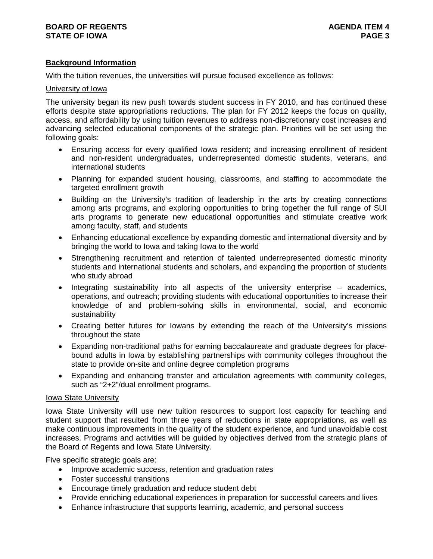# **Background Information**

With the tuition revenues, the universities will pursue focused excellence as follows:

# University of Iowa

The university began its new push towards student success in FY 2010, and has continued these efforts despite state appropriations reductions. The plan for FY 2012 keeps the focus on quality, access, and affordability by using tuition revenues to address non-discretionary cost increases and advancing selected educational components of the strategic plan. Priorities will be set using the following goals:

- Ensuring access for every qualified Iowa resident; and increasing enrollment of resident and non-resident undergraduates, underrepresented domestic students, veterans, and international students
- Planning for expanded student housing, classrooms, and staffing to accommodate the targeted enrollment growth
- Building on the University's tradition of leadership in the arts by creating connections among arts programs, and exploring opportunities to bring together the full range of SUI arts programs to generate new educational opportunities and stimulate creative work among faculty, staff, and students
- Enhancing educational excellence by expanding domestic and international diversity and by bringing the world to Iowa and taking Iowa to the world
- Strengthening recruitment and retention of talented underrepresented domestic minority students and international students and scholars, and expanding the proportion of students who study abroad
- $\bullet$  Integrating sustainability into all aspects of the university enterprise academics, operations, and outreach; providing students with educational opportunities to increase their knowledge of and problem-solving skills in environmental, social, and economic sustainability
- Creating better futures for Iowans by extending the reach of the University's missions throughout the state
- Expanding non-traditional paths for earning baccalaureate and graduate degrees for placebound adults in Iowa by establishing partnerships with community colleges throughout the state to provide on-site and online degree completion programs
- Expanding and enhancing transfer and articulation agreements with community colleges, such as "2+2"/dual enrollment programs.

### Iowa State University

Iowa State University will use new tuition resources to support lost capacity for teaching and student support that resulted from three years of reductions in state appropriations, as well as make continuous improvements in the quality of the student experience, and fund unavoidable cost increases. Programs and activities will be guided by objectives derived from the strategic plans of the Board of Regents and Iowa State University.

Five specific strategic goals are:

- Improve academic success, retention and graduation rates
- Foster successful transitions
- Encourage timely graduation and reduce student debt
- Provide enriching educational experiences in preparation for successful careers and lives
- Enhance infrastructure that supports learning, academic, and personal success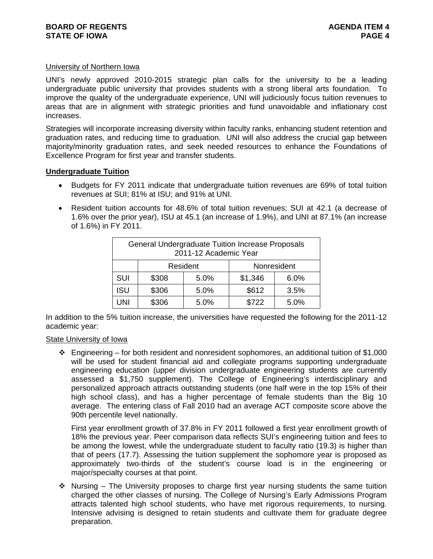## University of Northern Iowa

UNI's newly approved 2010-2015 strategic plan calls for the university to be a leading undergraduate public university that provides students with a strong liberal arts foundation. To improve the quality of the undergraduate experience, UNI will judiciously focus tuition revenues to areas that are in alignment with strategic priorities and fund unavoidable and inflationary cost increases.

Strategies will incorporate increasing diversity within faculty ranks, enhancing student retention and graduation rates, and reducing time to graduation. UNI will also address the crucial gap between majority/minority graduation rates, and seek needed resources to enhance the Foundations of Excellence Program for first year and transfer students.

# **Undergraduate Tuition**

- Budgets for FY 2011 indicate that undergraduate tuition revenues are 69% of total tuition revenues at SUI; 81% at ISU; and 91% at UNI.
- Resident tuition accounts for 48.6% of total tuition revenues; SUI at 42.1 (a decrease of 1.6% over the prior year), ISU at 45.1 (an increase of 1.9%), and UNI at 87.1% (an increase of 1.6%) in FY 2011.

|            | General Undergraduate Tuition Increase Proposals | 2011-12 Academic Year |         |             |
|------------|--------------------------------------------------|-----------------------|---------|-------------|
|            |                                                  | Resident              |         | Nonresident |
| SUI        | \$308                                            | 5.0%                  | \$1,346 | 6.0%        |
| <b>ISU</b> | \$306                                            | 5.0%                  | \$612   | 3.5%        |
| UNI        | \$306                                            | 5.0%                  | \$722   | 5.0%        |

In addition to the 5% tuition increase, the universities have requested the following for the 2011-12 academic year:

### State University of Iowa

 $\div$  Engineering – for both resident and nonresident sophomores, an additional tuition of \$1,000 will be used for student financial aid and collegiate programs supporting undergraduate engineering education (upper division undergraduate engineering students are currently assessed a \$1,750 supplement). The College of Engineering's interdisciplinary and personalized approach attracts outstanding students (one half were in the top 15% of their high school class), and has a higher percentage of female students than the Big 10 average. The entering class of Fall 2010 had an average ACT composite score above the 90th percentile level nationally.

First year enrollment growth of 37.8% in FY 2011 followed a first year enrollment growth of 18% the previous year. Peer comparison data reflects SUI's engineering tuition and fees to be among the lowest, while the undergraduate student to faculty ratio (19.3) is higher than that of peers (17.7). Assessing the tuition supplement the sophomore year is proposed as approximately two-thirds of the student's course load is in the engineering or major/specialty courses at that point.

 $\cdot$  Nursing – The University proposes to charge first year nursing students the same tuition charged the other classes of nursing. The College of Nursing's Early Admissions Program attracts talented high school students, who have met rigorous requirements, to nursing. Intensive advising is designed to retain students and cultivate them for graduate degree preparation.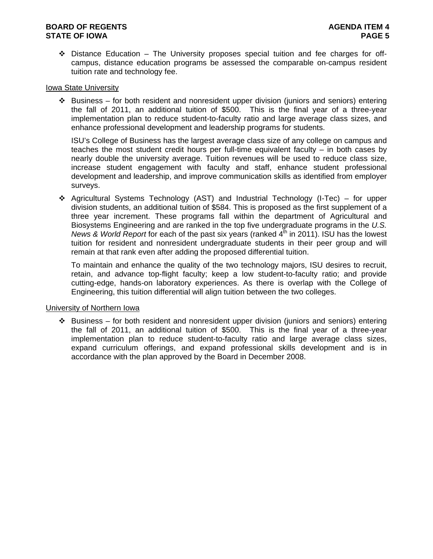$\div$  Distance Education – The University proposes special tuition and fee charges for offcampus, distance education programs be assessed the comparable on-campus resident tuition rate and technology fee.

## Iowa State University

 Business – for both resident and nonresident upper division (juniors and seniors) entering the fall of 2011, an additional tuition of \$500. This is the final year of a three-year implementation plan to reduce student-to-faculty ratio and large average class sizes, and enhance professional development and leadership programs for students.

ISU's College of Business has the largest average class size of any college on campus and teaches the most student credit hours per full-time equivalent faculty – in both cases by nearly double the university average. Tuition revenues will be used to reduce class size, increase student engagement with faculty and staff, enhance student professional development and leadership, and improve communication skills as identified from employer surveys.

 $\div$  Agricultural Systems Technology (AST) and Industrial Technology (I-Tec) – for upper division students, an additional tuition of \$584. This is proposed as the first supplement of a three year increment. These programs fall within the department of Agricultural and Biosystems Engineering and are ranked in the top five undergraduate programs in the *U.S. News & World Report* for each of the past six years (ranked 4<sup>th</sup> in 2011). ISU has the lowest tuition for resident and nonresident undergraduate students in their peer group and will remain at that rank even after adding the proposed differential tuition.

To maintain and enhance the quality of the two technology majors, ISU desires to recruit, retain, and advance top-flight faculty; keep a low student-to-faculty ratio; and provide cutting-edge, hands-on laboratory experiences. As there is overlap with the College of Engineering, this tuition differential will align tuition between the two colleges.

### University of Northern Iowa

 $\div$  Business – for both resident and nonresident upper division (juniors and seniors) entering the fall of 2011, an additional tuition of \$500. This is the final year of a three-year implementation plan to reduce student-to-faculty ratio and large average class sizes, expand curriculum offerings, and expand professional skills development and is in accordance with the plan approved by the Board in December 2008.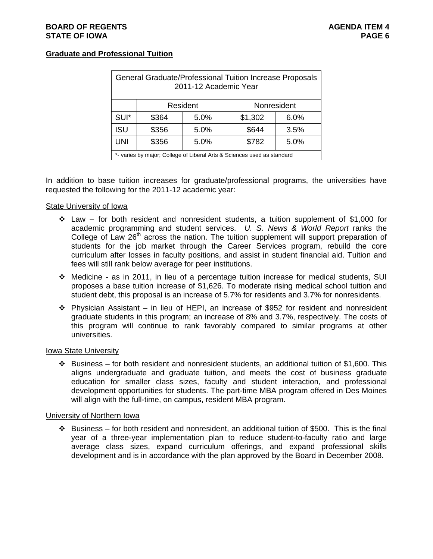# **Graduate and Professional Tuition**

|            | General Graduate/Professional Tuition Increase Proposals                | 2011-12 Academic Year |         |             |
|------------|-------------------------------------------------------------------------|-----------------------|---------|-------------|
|            |                                                                         | Resident              |         | Nonresident |
| SUI*       | \$364                                                                   | 5.0%                  | \$1,302 | 6.0%        |
| <b>ISU</b> | \$356                                                                   | 5.0%                  | \$644   | 3.5%        |
| <b>UNI</b> | \$356                                                                   | 5.0%                  | \$782   | 5.0%        |
|            | *- varies by major; College of Liberal Arts & Sciences used as standard |                       |         |             |

In addition to base tuition increases for graduate/professional programs, the universities have requested the following for the 2011-12 academic year:

### State University of Iowa

- $\div$  Law for both resident and nonresident students, a tuition supplement of \$1,000 for academic programming and student services. *U. S. News & World Report* ranks the College of Law 26<sup>th</sup> across the nation. The tuition supplement will support preparation of students for the job market through the Career Services program, rebuild the core curriculum after losses in faculty positions, and assist in student financial aid. Tuition and fees will still rank below average for peer institutions.
- Medicine as in 2011, in lieu of a percentage tuition increase for medical students, SUI proposes a base tuition increase of \$1,626. To moderate rising medical school tuition and student debt, this proposal is an increase of 5.7% for residents and 3.7% for nonresidents.
- $\div$  Physician Assistant in lieu of HEPI, an increase of \$952 for resident and nonresident graduate students in this program; an increase of 8% and 3.7%, respectively. The costs of this program will continue to rank favorably compared to similar programs at other universities.

### Iowa State University

 $\div$  Business – for both resident and nonresident students, an additional tuition of \$1,600. This aligns undergraduate and graduate tuition, and meets the cost of business graduate education for smaller class sizes, faculty and student interaction, and professional development opportunities for students. The part-time MBA program offered in Des Moines will align with the full-time, on campus, resident MBA program.

### University of Northern Iowa

 $\cdot \cdot$  Business – for both resident and nonresident, an additional tuition of \$500. This is the final year of a three-year implementation plan to reduce student-to-faculty ratio and large average class sizes, expand curriculum offerings, and expand professional skills development and is in accordance with the plan approved by the Board in December 2008.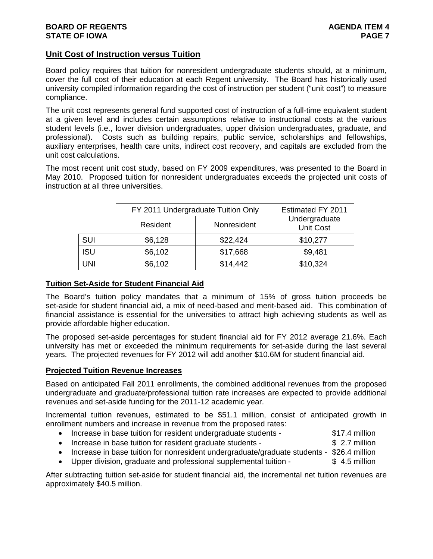# **Unit Cost of Instruction versus Tuition**

Board policy requires that tuition for nonresident undergraduate students should, at a minimum, cover the full cost of their education at each Regent university. The Board has historically used university compiled information regarding the cost of instruction per student ("unit cost") to measure compliance.

The unit cost represents general fund supported cost of instruction of a full-time equivalent student at a given level and includes certain assumptions relative to instructional costs at the various student levels (i.e., lower division undergraduates, upper division undergraduates, graduate, and professional). Costs such as building repairs, public service, scholarships and fellowships, auxiliary enterprises, health care units, indirect cost recovery, and capitals are excluded from the unit cost calculations.

The most recent unit cost study, based on FY 2009 expenditures, was presented to the Board in May 2010. Proposed tuition for nonresident undergraduates exceeds the projected unit costs of instruction at all three universities.

|            | FY 2011 Undergraduate Tuition Only |             | Estimated FY 2011                 |
|------------|------------------------------------|-------------|-----------------------------------|
|            | Resident                           | Nonresident | Undergraduate<br><b>Unit Cost</b> |
| <b>SUI</b> | \$6,128                            | \$22,424    | \$10,277                          |
| <b>ISU</b> | \$6,102                            | \$17,668    | \$9,481                           |
| UNI        | \$6,102                            | \$14,442    | \$10,324                          |

### **Tuition Set-Aside for Student Financial Aid**

The Board's tuition policy mandates that a minimum of 15% of gross tuition proceeds be set-aside for student financial aid, a mix of need-based and merit-based aid. This combination of financial assistance is essential for the universities to attract high achieving students as well as provide affordable higher education.

The proposed set-aside percentages for student financial aid for FY 2012 average 21.6%. Each university has met or exceeded the minimum requirements for set-aside during the last several years. The projected revenues for FY 2012 will add another \$10.6M for student financial aid.

# **Projected Tuition Revenue Increases**

Based on anticipated Fall 2011 enrollments, the combined additional revenues from the proposed undergraduate and graduate/professional tuition rate increases are expected to provide additional revenues and set-aside funding for the 2011-12 academic year.

Incremental tuition revenues, estimated to be \$51.1 million, consist of anticipated growth in enrollment numbers and increase in revenue from the proposed rates:

- Increase in base tuition for resident undergraduate students \$17.4 million
- Increase in base tuition for resident graduate students \$ 2.7 million
- Increase in base tuition for nonresident undergraduate/graduate students \$26.4 million
- Upper division, graduate and professional supplemental tuition \$ 4.5 million

After subtracting tuition set-aside for student financial aid, the incremental net tuition revenues are approximately \$40.5 million.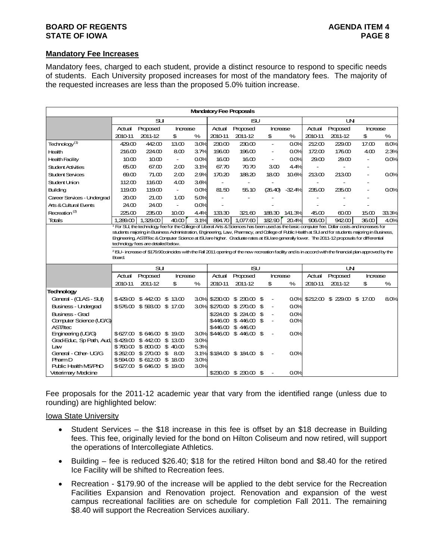### **BOARD OF REGENTS AGENTS** AGENDA ITEM 4 **STATE OF IOWA** PAGE 8

# **Mandatory Fee Increases**

Mandatory fees, charged to each student, provide a distinct resource to respond to specific needs of students. Each University proposed increases for most of the mandatory fees. The majority of the requested increases are less than the proposed 5.0% tuition increase.

|                                   |          |                                     |                          |      |         | <b>Mandatory Fee Proposals</b>                                                                                                                                     |                                |          |                |                                |          |      |
|-----------------------------------|----------|-------------------------------------|--------------------------|------|---------|--------------------------------------------------------------------------------------------------------------------------------------------------------------------|--------------------------------|----------|----------------|--------------------------------|----------|------|
|                                   |          | SU                                  |                          |      |         | ISU                                                                                                                                                                |                                |          |                | LN.                            |          |      |
|                                   | Actual   | Proposed                            | Increase                 |      | Actual  | Proposed                                                                                                                                                           | Increase                       |          | Actual         | Proposed                       | Increase |      |
|                                   | 2010-11  | 2011-12                             | \$                       | %    | 2010-11 | 2011-12                                                                                                                                                            | \$                             | ℅        | 2010-11        | 2011-12                        | \$       | %    |
| Technology <sup>(1)</sup>         | 429.00   | 442.00                              | 13.00                    | 30%  | 230.00  | 230.00                                                                                                                                                             | $\sim$                         | 0.0%     | 212.00         | 229.00                         | 17.00    | 80%  |
| <b>Health</b>                     | 216.00   | 224.00                              | 8.00                     | 37%  | 196.00  | 196.00                                                                                                                                                             | $\overline{\phantom{0}}$       | 0.0%     | 17200          | 176.00                         | 400      | 23%  |
| <b>Health Facility</b>            | 10.00    | 10 <sub>0</sub>                     | $\blacksquare$           | 0.0% | 16.00   | 16 <sub>00</sub>                                                                                                                                                   | $\overline{\phantom{a}}$       | 0.0%     | 29.00          | 29.00                          |          | 0.0% |
| <b>Student Activities</b>         | 65.00    | 67.00                               | 200                      | 3.1% | 67.70   | 70.70                                                                                                                                                              | 300                            | 4.4%     | $\blacksquare$ |                                |          |      |
| <b>Student Services</b>           | 69.00    | 71.00                               | 200                      | 29%  | 170.20  | 188.20                                                                                                                                                             | 18 <sub>00</sub>               | 10.6%    | 21300          | 213.00                         |          | 0.0% |
| Student Union                     | 11200    | 116.00                              | 4.00                     | 36%  |         |                                                                                                                                                                    |                                |          |                |                                |          |      |
| Building                          | 119.00   | 119.00                              | $\overline{\phantom{a}}$ | 0.0% | 81.50   | 55.10                                                                                                                                                              | (26.40)                        | $-32.4%$ | 235.00         | 235.00                         |          | 0.0% |
| Career Services - Undergrad       | 20.00    | 21.00                               | 1.00                     | 5.0% |         |                                                                                                                                                                    |                                |          |                |                                |          |      |
| <b>Arts &amp; Cultural Events</b> | 24.00    | 24.00                               | $\blacksquare$           | 0.0% |         |                                                                                                                                                                    |                                |          |                |                                |          |      |
| Recreation <sup>(2)</sup>         | 225.00   | 235.00                              | 10.00                    | 4.4% | 133.30  | 321.60                                                                                                                                                             | 188.30                         | 141.3%   | 45.00          | 60.00                          | 15.00    | 333% |
| Totals                            | 1.289.00 | 1.329.00                            | 40.00                    | 3.1% | 894.70  | 1.077.60                                                                                                                                                           | 182.90                         | 20.4%    | 906.00         | 94200                          | 36.00    | 4.0% |
|                                   | Board.   | technology fees are detailed below. |                          |      |         | <sup>2</sup> ISU- increase of \$179.90coincides with the Fall 2011 opening of the new recreation facility and is in accord with the financial plan approved by the |                                |          |                |                                |          |      |
|                                   |          | su                                  |                          |      |         | <b>ISU</b>                                                                                                                                                         |                                |          |                | LΝ                             |          |      |
|                                   | Actual   | Proposed                            | Increase                 |      | Actual  | Proposed                                                                                                                                                           | Increase                       |          | Actual         | Proposed                       | Increase |      |
|                                   | 2010-11  | 2011-12                             | \$                       | %    | 2010-11 | 2011-12                                                                                                                                                            | \$                             | %        | 2010-11        | 2011-12                        | \$       | %    |
| <b>Technology</b>                 |          |                                     |                          |      |         |                                                                                                                                                                    |                                |          |                |                                |          |      |
| General - (CLAS - SUI)            |          | \$429.00 \$442.00 \$13.00           |                          |      |         | 30% \$230.00 \$230.00                                                                                                                                              | \$<br>$\overline{\phantom{0}}$ |          |                | 0.0% \$212.00 \$229.00 \$17.00 |          | 8.0% |
| Business - Undergrad              |          | \$576.00 \$593.00 \$17.00           |                          | 30%  |         | $$270.00$ \$ $270.00$                                                                                                                                              | \$<br>$\overline{\phantom{a}}$ | 0.0%     |                |                                |          |      |
| Business - Grad                   |          |                                     |                          |      |         | \$224.00 \$ 224.00                                                                                                                                                 | \$<br>$\overline{\phantom{0}}$ | 0.0%     |                |                                |          |      |
| Computer Science (UG/G)           |          |                                     |                          |      |         | \$446.00 \$446.00 \$                                                                                                                                               |                                | 0.0%     |                |                                |          |      |
| AST/Itec                          |          |                                     |                          |      |         | \$446.00 \$446.00                                                                                                                                                  |                                |          |                |                                |          |      |
| Engineering (UG/G)                |          | \$627.00 \$646.00 \$19.00           |                          | 30%  |         | \$446.00 \$446.00 \$                                                                                                                                               |                                | 0.0%     |                |                                |          |      |
| Grad-Educ, Sp Path, Aud,          |          | \$429.00 \$442.00                   | \$1300                   | 30%  |         |                                                                                                                                                                    |                                |          |                |                                |          |      |
| Law                               |          | \$760.00 \$800.00 \$40.00           |                          | 5.3% |         |                                                                                                                                                                    |                                |          |                |                                |          |      |
| General - Other- UG/G             |          | \$262.00 \$270.00                   | \$<br>8 <sub>0</sub>     | 3.1% |         | \$184.00 \$184.00 \$                                                                                                                                               |                                | 0.0%     |                |                                |          |      |
| PharmD                            |          | \$594.00 \$61200                    | \$1800                   | 30%  |         |                                                                                                                                                                    |                                |          |                |                                |          |      |
| Public Health MS/PhD              |          | \$627.00 \$646.00                   | \$<br>19.00              | 30%  |         |                                                                                                                                                                    |                                |          |                |                                |          |      |
| Veterimary Medicine               |          |                                     |                          |      |         | $$23000$ \$ $23000$ \$                                                                                                                                             |                                | 0.0%     |                |                                |          |      |

Fee proposals for the 2011-12 academic year that vary from the identified range (unless due to rounding) are highlighted below:

### Iowa State University

- Student Services the \$18 increase in this fee is offset by an \$18 decrease in Building fees. This fee, originally levied for the bond on Hilton Coliseum and now retired, will support the operations of Intercollegiate Athletics.
- Building fee is reduced \$26.40; \$18 for the retired Hilton bond and \$8.40 for the retired Ice Facility will be shifted to Recreation fees.
- Recreation \$179.90 of the increase will be applied to the debt service for the Recreation Facilities Expansion and Renovation project. Renovation and expansion of the west campus recreational facilities are on schedule for completion Fall 2011. The remaining \$8.40 will support the Recreation Services auxiliary.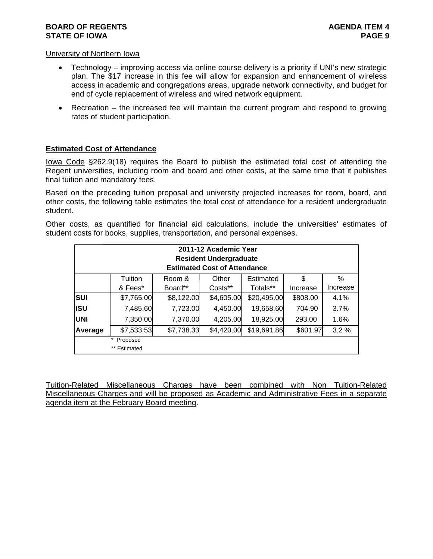### University of Northern Iowa

- Technology improving access via online course delivery is a priority if UNI's new strategic plan. The \$17 increase in this fee will allow for expansion and enhancement of wireless access in academic and congregations areas, upgrade network connectivity, and budget for end of cycle replacement of wireless and wired network equipment.
- Recreation the increased fee will maintain the current program and respond to growing rates of student participation.

### **Estimated Cost of Attendance**

Iowa Code §262.9(18) requires the Board to publish the estimated total cost of attending the Regent universities, including room and board and other costs, at the same time that it publishes final tuition and mandatory fees.

Based on the preceding tuition proposal and university projected increases for room, board, and other costs, the following table estimates the total cost of attendance for a resident undergraduate student.

Other costs, as quantified for financial aid calculations, include the universities' estimates of student costs for books, supplies, transportation, and personal expenses.

|            |               |            | 2011-12 Academic Year<br><b>Resident Undergraduate</b><br><b>Estimated Cost of Attendance</b> |             |          |          |
|------------|---------------|------------|-----------------------------------------------------------------------------------------------|-------------|----------|----------|
|            | Tuition       | Room &     | Other                                                                                         | Estimated   | S        | $\%$     |
|            | & Fees*       | Board**    | Costs**                                                                                       | Totals**    | Increase | Increase |
| <b>SUI</b> | \$7,765.00    | \$8,122.00 | \$4,605.00                                                                                    | \$20,495.00 | \$808.00 | 4.1%     |
| <b>ISU</b> | 7,485.60      | 7,723.00   | 4,450.00                                                                                      | 19,658.60   | 704.90   | 3.7%     |
| <b>UNI</b> | 7,350.00      | 7,370.00   | 4,205.00                                                                                      | 18,925.00   | 293.00   | 1.6%     |
| Average    | \$7,533.53    | \$7,738.33 | \$4,420.00                                                                                    | \$19,691.86 | \$601.97 | 3.2%     |
|            | * Proposed    |            |                                                                                               |             |          |          |
|            | ** Estimated. |            |                                                                                               |             |          |          |

Tuition-Related Miscellaneous Charges have been combined with Non Tuition-Related Miscellaneous Charges and will be proposed as Academic and Administrative Fees in a separate agenda item at the February Board meeting.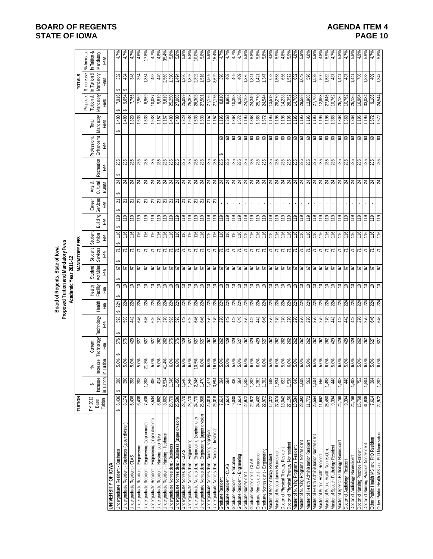|                                                                                |                            |                                    |                                                                                                                                                                                                                                                                                                                     |                       |                                                                                     |                                                                                                                                                              |                           | Proposed Tuition and Mandatory Fees<br>Board of Regents, State of lowa<br>Academic Year 2011-12 |                       |                         |                   |                           |                              |                                                                                                                                                                                                                                                                                                                     |                                  |                            |                                     |                                                  |                                                 |
|--------------------------------------------------------------------------------|----------------------------|------------------------------------|---------------------------------------------------------------------------------------------------------------------------------------------------------------------------------------------------------------------------------------------------------------------------------------------------------------------|-----------------------|-------------------------------------------------------------------------------------|--------------------------------------------------------------------------------------------------------------------------------------------------------------|---------------------------|-------------------------------------------------------------------------------------------------|-----------------------|-------------------------|-------------------|---------------------------|------------------------------|---------------------------------------------------------------------------------------------------------------------------------------------------------------------------------------------------------------------------------------------------------------------------------------------------------------------|----------------------------------|----------------------------|-------------------------------------|--------------------------------------------------|-------------------------------------------------|
|                                                                                | TUITION                    |                                    |                                                                                                                                                                                                                                                                                                                     |                       |                                                                                     |                                                                                                                                                              |                           |                                                                                                 | <b>MANDATORY FEES</b> |                         |                   |                           |                              |                                                                                                                                                                                                                                                                                                                     |                                  |                            |                                     | TOTALS                                           |                                                 |
|                                                                                | FY 2012<br>Tuition<br>Base | in Tuition<br><b>Increase</b><br>↮ | ease<br>iition<br>Incre<br>巨三                                                                                                                                                                                                                                                                                       | Technology<br>Current | Technology<br>Fee                                                                   | Health <sub>1</sub><br>Fee                                                                                                                                   | Health<br>Facility<br>Fee | Activities<br><b>Student</b><br>Fee                                                             | Student<br>Services   | Student<br>Union<br>Fee | Building          | Services<br>Career<br>Fee | Arts &<br>Cultural<br>Events | Recreation<br>Fee                                                                                                                                                                                                                                                                                                   | Professional<br>Enhancemt<br>Fee | Mandatory<br>Fees<br>Total | Proposed<br>Tuition &<br>Mandatory  | in Tuition &<br>Mandatory<br>\$ Increase<br>Fees | % Increase<br>In Tuition &<br>Mandatory<br>Fees |
| <b>UNIVERSITY OF IOWA</b>                                                      |                            |                                    |                                                                                                                                                                                                                                                                                                                     |                       |                                                                                     |                                                                                                                                                              |                           |                                                                                                 |                       |                         |                   |                           |                              |                                                                                                                                                                                                                                                                                                                     |                                  |                            |                                     |                                                  |                                                 |
| Jndergraduate Resident - Business                                              | 6,436<br>မာ                | 308<br>မာ                          | 60%                                                                                                                                                                                                                                                                                                                 | 576                   | 593                                                                                 | 224                                                                                                                                                          | 5                         | 5<br>ക                                                                                          | 71                    | 116                     | 119               | 2                         | $\overline{\mathcal{Z}}$     | 235                                                                                                                                                                                                                                                                                                                 |                                  | 1,480<br>↮                 | 7,916<br>↮                          | 352<br>↮                                         | 4.7%                                            |
| Indergraduate Resident - Business (upper division)                             | 8,174                      | 390                                | 5.0%                                                                                                                                                                                                                                                                                                                |                       | 593                                                                                 |                                                                                                                                                              |                           | 57                                                                                              | $\overline{r}$        | 116                     | 119               |                           |                              | 235                                                                                                                                                                                                                                                                                                                 |                                  | 480                        | 9,654<br>↮                          | 434<br>↔                                         | 4.7%                                            |
| Jndergraduate Resident - CLAS                                                  | 6,436                      | 308                                | 5.0%                                                                                                                                                                                                                                                                                                                |                       | 442                                                                                 |                                                                                                                                                              | 99                        | 67                                                                                              | $\overline{7}$        | 116                     | 119               | <b>ম</b> ম                |                              | 235                                                                                                                                                                                                                                                                                                                 |                                  | 329                        | 7,765                               | 348                                              | 4.7%                                            |
| Jndergraduate Resident - Engineering                                           | 6,436                      | $308$                              |                                                                                                                                                                                                                                                                                                                     |                       |                                                                                     |                                                                                                                                                              |                           |                                                                                                 |                       | 116                     |                   |                           |                              |                                                                                                                                                                                                                                                                                                                     |                                  |                            | 7,969                               |                                                  |                                                 |
| Jndergraduate Resident - Engineering (sophomore)                               | 7,436                      | 1,308                              | 5.0%<br>1.3%<br>5.0%<br>Ń                                                                                                                                                                                                                                                                                           |                       | \$ \$                                                                               |                                                                                                                                                              |                           |                                                                                                 | 지지지지지지지지지지            | 116                     | $\frac{611}{119}$ | 치치치치자  회회  회회  회회         |                              | <b>85</b><br>235                                                                                                                                                                                                                                                                                                    |                                  | 1,533                      | 8,969                               | 354                                              | $4.6\%$<br>17.8%                                |
| Indergraduate Resident - Engineering (upper division)                          | 8,504                      | 406                                |                                                                                                                                                                                                                                                                                                                     |                       | 9+9                                                                                 |                                                                                                                                                              |                           |                                                                                                 |                       | 116                     |                   |                           |                              | 235                                                                                                                                                                                                                                                                                                                 |                                  | 1,533                      | 10,037                              | 452                                              | 4.7%                                            |
| Jndergraduate Resident - Nursing -soph/jr/sr                                   | 8,662                      | 414                                | $\frac{8}{5}$ $\frac{8}{4}$ $\frac{8}{5}$ $\frac{8}{5}$                                                                                                                                                                                                                                                             |                       |                                                                                     |                                                                                                                                                              |                           |                                                                                                 |                       | $\frac{9}{1}$           | $\frac{611}{119}$ |                           |                              |                                                                                                                                                                                                                                                                                                                     |                                  | 75r'i                      | 9,819                               | 6#                                               | 4.8%                                            |
| Indergraduate Resident - Nursing - freshman                                    | 8,662                      | 2,534                              |                                                                                                                                                                                                                                                                                                                     |                       |                                                                                     |                                                                                                                                                              |                           |                                                                                                 |                       | $\frac{911}{16}$        | $rac{611}{611}$   |                           |                              |                                                                                                                                                                                                                                                                                                                     |                                  | $\frac{1,157}{1,480}$      |                                     | 2,569<br>1,390                                   | 35.4%                                           |
| Indergraduate Nonresident - Business                                           | 23,770                     | 1,346                              |                                                                                                                                                                                                                                                                                                                     |                       |                                                                                     |                                                                                                                                                              |                           |                                                                                                 |                       |                         |                   |                           |                              |                                                                                                                                                                                                                                                                                                                     |                                  |                            | 25,250                              |                                                  | 5.8%                                            |
| Indergraduate Nonresident - Business (upper division)                          | 25,586                     | 1,450                              |                                                                                                                                                                                                                                                                                                                     |                       |                                                                                     |                                                                                                                                                              |                           |                                                                                                 |                       | $rac{91}{116}$          |                   |                           |                              |                                                                                                                                                                                                                                                                                                                     |                                  | 08t1                       | 27,066                              | 1,494                                            | 5.8%                                            |
| ndergraduate Nonresident - CLAS                                                | 23,770                     | 1,346                              |                                                                                                                                                                                                                                                                                                                     |                       |                                                                                     |                                                                                                                                                              |                           |                                                                                                 |                       |                         | 무원                |                           |                              |                                                                                                                                                                                                                                                                                                                     |                                  | $\frac{1,329}{1,533}$      |                                     | 1,386                                            | 5.8%                                            |
| Indergraduate Nonresident - Engineering                                        | 23,770                     | 1,346                              |                                                                                                                                                                                                                                                                                                                     |                       |                                                                                     |                                                                                                                                                              |                           |                                                                                                 |                       | $\frac{311}{12}$        |                   |                           |                              |                                                                                                                                                                                                                                                                                                                     |                                  |                            |                                     | 1,392                                            | $\frac{8}{5}$                                   |
| Indergraduate Nonresident - Engineering (sophomore)                            | 24,770                     | 2,346                              |                                                                                                                                                                                                                                                                                                                     |                       |                                                                                     |                                                                                                                                                              |                           |                                                                                                 | $\frac{1}{7}$         | $\frac{9}{5}$           |                   |                           |                              |                                                                                                                                                                                                                                                                                                                     |                                  | $\frac{33}{15}$            | 8,090<br>8,303<br>8,303<br>8   5,50 | 2,392<br>1,516                                   | $\frac{68}{5.8}$                                |
| Indergraduate Nonresident - Engineering (upper division)                       | 25,968                     | 1,470                              |                                                                                                                                                                                                                                                                                                                     |                       |                                                                                     |                                                                                                                                                              |                           |                                                                                                 |                       |                         |                   |                           |                              |                                                                                                                                                                                                                                                                                                                     |                                  |                            |                                     |                                                  |                                                 |
| Indergraduate Nonresident - Nursing soph/jr/sr                                 | 26,018                     | 1,474                              |                                                                                                                                                                                                                                                                                                                     |                       |                                                                                     |                                                                                                                                                              |                           |                                                                                                 |                       |                         |                   |                           |                              |                                                                                                                                                                                                                                                                                                                     |                                  |                            | 27,175                              | 1,509                                            | $\frac{38}{5}$                                  |
| Jndergraduate Nonresident - Nursing - freshman                                 | 26,018                     | 3,594                              | $\frac{8}{8}$ $\frac{8}{8}$ $\frac{8}{8}$ $\frac{8}{8}$ $\frac{8}{8}$ $\frac{8}{8}$ $\frac{8}{8}$ $\frac{8}{8}$ $\frac{8}{8}$ $\frac{8}{8}$ $\frac{8}{8}$ $\frac{8}{8}$ $\frac{8}{8}$ $\frac{8}{8}$ $\frac{8}{8}$ $\frac{8}{8}$ $\frac{8}{8}$ $\frac{8}{8}$ $\frac{8}{8}$ $\frac{8}{8}$ $\frac{8}{8}$ $\frac{8}{8}$ |                       |                                                                                     |                                                                                                                                                              |                           |                                                                                                 | 리지지지                  | 116                     |                   |                           |                              |                                                                                                                                                                                                                                                                                                                     |                                  | 1,157                      | 27,175                              | 3,629                                            | 15.4%                                           |
| Graduate Resident                                                              | 7,614                      | 384                                |                                                                                                                                                                                                                                                                                                                     |                       |                                                                                     |                                                                                                                                                              |                           |                                                                                                 |                       |                         |                   |                           |                              |                                                                                                                                                                                                                                                                                                                     |                                  | $\frac{96}{1,196}$         | 018'8                               | 398                                              | R<br>4                                          |
| <b>Graduate Resident - CLAS</b>                                                | 7,614                      | 384                                |                                                                                                                                                                                                                                                                                                                     |                       |                                                                                     |                                                                                                                                                              |                           |                                                                                                 |                       | 116                     |                   |                           |                              |                                                                                                                                                                                                                                                                                                                     |                                  | 1,368                      | 8,982                               | 403                                              | ዳ.<br>ተ                                         |
| <b>Graduate Resident - Education</b>                                           | 9,030                      | 430                                |                                                                                                                                                                                                                                                                                                                     |                       |                                                                                     |                                                                                                                                                              |                           |                                                                                                 |                       | $\frac{911}{1}$         |                   |                           |                              |                                                                                                                                                                                                                                                                                                                     |                                  | 1,368                      | $\frac{10,398}{9,186}$              | 469                                              | $4.7^{\circ}$                                   |
| Graduate Resident - Engineering                                                | 7,614                      | 384                                |                                                                                                                                                                                                                                                                                                                     |                       |                                                                                     |                                                                                                                                                              |                           |                                                                                                 | $\frac{1}{7}$         | 116                     | 611               |                           |                              |                                                                                                                                                                                                                                                                                                                     | 888888                           | 1,572                      |                                     | 409<br>1,336                                     | 4.7                                             |
| <b>Graduate Nonresident</b>                                                    | 22,972                     | 1,302                              |                                                                                                                                                                                                                                                                                                                     |                       |                                                                                     |                                                                                                                                                              |                           |                                                                                                 |                       | 116                     |                   |                           |                              |                                                                                                                                                                                                                                                                                                                     |                                  | 1,196                      | 24,168                              |                                                  | 5.9%                                            |
| Graduate Nonresident - CLAS                                                    | 22,972                     | 1,302                              |                                                                                                                                                                                                                                                                                                                     |                       |                                                                                     |                                                                                                                                                              |                           |                                                                                                 | $\overline{7}$        | $\frac{9}{1}$           | 119               |                           |                              |                                                                                                                                                                                                                                                                                                                     |                                  | 1,368                      | 24,340                              | 341                                              | ທ່                                              |
| Graduate Nonresident - Education                                               | 24,402                     | 1,382                              |                                                                                                                                                                                                                                                                                                                     |                       |                                                                                     |                                                                                                                                                              |                           |                                                                                                 | $\overline{1}$        | 116                     | 611               |                           |                              |                                                                                                                                                                                                                                                                                                                     |                                  | 1,368                      | 25,770                              | 1,421                                            | $5.8^{\circ}$                                   |
| Sraduate Nonresident - Engineering                                             | 22,972                     | 1,302                              |                                                                                                                                                                                                                                                                                                                     |                       |                                                                                     |                                                                                                                                                              |                           |                                                                                                 | $\overline{7}$        | 116                     | $\frac{611}{2}$   |                           |                              |                                                                                                                                                                                                                                                                                                                     |                                  | 1,572                      | 24,544                              | 1,347                                            | 5.8%                                            |
| Master of Accountancy Resident                                                 | 12,322                     | 588                                |                                                                                                                                                                                                                                                                                                                     |                       |                                                                                     |                                                                                                                                                              |                           |                                                                                                 |                       | 116                     |                   |                           |                              |                                                                                                                                                                                                                                                                                                                     |                                  |                            | 13,518                              |                                                  | 4.8%                                            |
| Vlaster of Accountancy Nonresident                                             | 27,074<br>13,042           | 1,534                              | 6.0% 8 % 8 %<br>6.0% 8 % 8 % 9 %                                                                                                                                                                                                                                                                                    |                       | 22222222222                                                                         |                                                                                                                                                              |                           |                                                                                                 | 지지지지                  | 911                     | <u> 후 후 후 후</u>   |                           |                              |                                                                                                                                                                                                                                                                                                                     |                                  | $\frac{1,196}{1,196}$      | 28,270<br>14,238                    | 822<br>588<br>556                                | 5.9%                                            |
| Ooctor of Physical Therapy Resident                                            | 27,156                     | 1,538<br>82                        |                                                                                                                                                                                                                                                                                                                     |                       |                                                                                     |                                                                                                                                                              |                           |                                                                                                 |                       | 116<br>116              |                   |                           |                              |                                                                                                                                                                                                                                                                                                                     |                                  | 1,196                      | 28,352                              | 572                                              | 4.8%<br>5.99                                    |
| Doctor of Physical Therapy Nonresiden<br>Aaster of Nursing Programs Resident   | 13,584                     | 848                                |                                                                                                                                                                                                                                                                                                                     |                       |                                                                                     |                                                                                                                                                              |                           |                                                                                                 |                       | 116                     |                   |                           |                              |                                                                                                                                                                                                                                                                                                                     |                                  | 1,196                      | 14,780                              | 682                                              | $4.8^{\circ}$                                   |
| laster of Nursing Programs Nonresident                                         | 28,392                     | 1,608                              | 5.0%                                                                                                                                                                                                                                                                                                                |                       |                                                                                     |                                                                                                                                                              |                           |                                                                                                 |                       | $\frac{9}{1}$           | 119               |                           |                              |                                                                                                                                                                                                                                                                                                                     |                                  | 1,196                      | 29,588                              | \$42                                             | 5.9%                                            |
|                                                                                | 11,772                     | 562                                |                                                                                                                                                                                                                                                                                                                     |                       |                                                                                     |                                                                                                                                                              |                           |                                                                                                 |                       | 116                     |                   |                           |                              |                                                                                                                                                                                                                                                                                                                     |                                  |                            | 12,968                              |                                                  |                                                 |
| Vlaster of Health Administration Resident                                      |                            |                                    | 5.0%                                                                                                                                                                                                                                                                                                                |                       |                                                                                     |                                                                                                                                                              |                           |                                                                                                 |                       |                         | 119               |                           |                              |                                                                                                                                                                                                                                                                                                                     |                                  | 1,196                      |                                     | 596                                              | 4.8%                                            |
| faster of Health Administration Nonresident                                    | 26,564                     | 1,504                              | 6.0%                                                                                                                                                                                                                                                                                                                |                       |                                                                                     |                                                                                                                                                              |                           |                                                                                                 |                       | 116                     | 119               |                           |                              |                                                                                                                                                                                                                                                                                                                     |                                  | 1,196                      | 27,760                              | 538                                              | 5.9%                                            |
| <b>Aaster of Public Health Nonresident</b><br>Master of Public Health Resident | 11,662                     | 1,498<br>556                       | $\frac{80%}{6.0%}$                                                                                                                                                                                                                                                                                                  |                       | g g g g g a g g g                                                                   |                                                                                                                                                              | <u>이라이얼달달</u>             | $\frac{3}{9}$   3   3   3   3   3   3   3                                                       | 지지지                   | 911                     | $\frac{6}{10}$    |                           |                              | $\frac{1}{2}$ $\frac{1}{2}$ $\frac{1}{2}$ $\frac{1}{2}$ $\frac{1}{2}$ $\frac{1}{2}$ $\frac{1}{2}$ $\frac{1}{2}$ $\frac{1}{2}$ $\frac{1}{2}$ $\frac{1}{2}$ $\frac{1}{2}$ $\frac{1}{2}$ $\frac{1}{2}$ $\frac{1}{2}$ $\frac{1}{2}$ $\frac{1}{2}$ $\frac{1}{2}$ $\frac{1}{2}$ $\frac{1}{2}$ $\frac{1}{2}$ $\frac{1}{2}$ |                                  | 1,196                      | 27,646<br>12,858                    | 181<br>182<br>182                                | 4.8%                                            |
|                                                                                | 26,450                     |                                    |                                                                                                                                                                                                                                                                                                                     |                       |                                                                                     |                                                                                                                                                              |                           |                                                                                                 |                       | 116                     | $rac{61}{21}$     |                           |                              |                                                                                                                                                                                                                                                                                                                     |                                  | 1,196                      |                                     |                                                  | 5.9%<br>4.7%                                    |
| Master of Speech Pathology Resident                                            | 9,394                      | 8#                                 |                                                                                                                                                                                                                                                                                                                     |                       |                                                                                     |                                                                                                                                                              |                           |                                                                                                 | スス                    | 116                     |                   |                           |                              |                                                                                                                                                                                                                                                                                                                     |                                  | 1,368                      | 10,762                              |                                                  |                                                 |
| Master of Speech Pathology Nonresident                                         | 24,768                     | 1,402                              |                                                                                                                                                                                                                                                                                                                     |                       |                                                                                     |                                                                                                                                                              |                           |                                                                                                 |                       | 116                     | $\frac{6}{12}$    |                           |                              |                                                                                                                                                                                                                                                                                                                     |                                  | 1,368                      | 26,136                              | $rac{441}{187}$                                  | 5.8%                                            |
| Doctor of Audiology Resident                                                   | 9,394                      | 48                                 | $\frac{1}{2}$                                                                                                                                                                                                                                                                                                       |                       |                                                                                     |                                                                                                                                                              |                           |                                                                                                 | $\frac{1}{2}$         | $\frac{9}{10}$          |                   |                           |                              |                                                                                                                                                                                                                                                                                                                     |                                  | 1,368                      | 10,762                              |                                                  | 4.7%                                            |
| <b>Doctor of Audiology Nonresident</b>                                         | 24,768                     | 1,402                              | 1.0%                                                                                                                                                                                                                                                                                                                |                       |                                                                                     |                                                                                                                                                              |                           |                                                                                                 | $\overline{7}$        | $\frac{9}{1}$           | 119               |                           |                              |                                                                                                                                                                                                                                                                                                                     |                                  | 1,368                      | 26,136                              | 144                                              | 5.8%                                            |
| Doctor of Nursing Practice Resident                                            | 15,768                     | 752                                | 60%                                                                                                                                                                                                                                                                                                                 |                       |                                                                                     |                                                                                                                                                              |                           |                                                                                                 | 지지                    | $\frac{9}{1}$           | 119               |                           |                              |                                                                                                                                                                                                                                                                                                                     |                                  | 1,196                      | 16,964                              | 786                                              |                                                 |
| Ooctor of Nursing Practice Nonresident                                         | 31,838                     | 1,804                              |                                                                                                                                                                                                                                                                                                                     |                       |                                                                                     |                                                                                                                                                              |                           |                                                                                                 |                       | 116                     | $\frac{9}{10}$    |                           |                              |                                                                                                                                                                                                                                                                                                                     |                                  | 1,196                      | 33,034                              | 838                                              | 5.9%                                            |
| Other Public Health MS and PhD Resident                                        | 7,614                      | 364                                | 6.0%<br>5.0%<br>6.0%                                                                                                                                                                                                                                                                                                |                       | $\frac{1}{3}$ $\frac{1}{5}$ $\frac{1}{5}$ $\frac{1}{3}$ $\frac{1}{3}$ $\frac{1}{3}$ | <u>ងន្ត្រី ងន្ត្រី ងន្ត្រី ងន្ត្រី ងន្ត្រី ងន្ត្រី ងន្ត្រី ងន្ត្រី ងន្ត្រី ងន្ត្រី ងន្ត្រី ងន្ត្រី ងន្ត្រី ងន្ត្រី ងន្ត្រី ងន្ត្រី ងន្ត្រី ងន្ត្រី ងន្ត្</u> | $ z $ $ z $ $ z $         | 333333                                                                                          | $\frac{1}{7}$         | $\frac{311}{116}$       | 119               |                           |                              | 88888                                                                                                                                                                                                                                                                                                               | 888888888888888888888            | 1,572                      | 9,186                               | 604                                              |                                                 |
| Other Public Health MS and PhD Nonresident                                     | 22,972                     | 1,302                              |                                                                                                                                                                                                                                                                                                                     |                       |                                                                                     |                                                                                                                                                              |                           |                                                                                                 |                       |                         |                   |                           |                              |                                                                                                                                                                                                                                                                                                                     |                                  | 1,572                      | 24,544                              | 347                                              |                                                 |

**BOARD OF REGENTS**<br> **BOARD OF REGENTS**<br> **BOARD OF IOWA**<br> **BOARD OF IOWA**<br> **PAGE 10 STATE OF IOWA**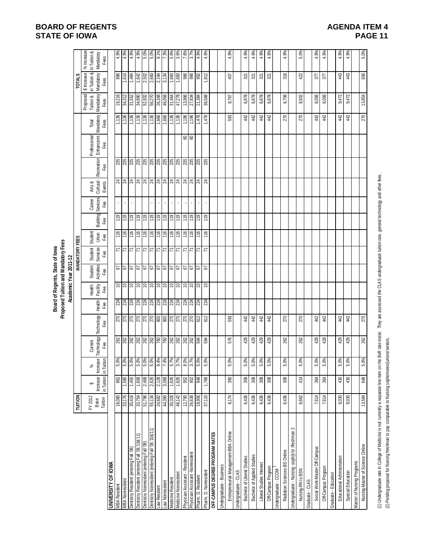|                                                                                                    |                            |                             |                        |                                                                                                                |                   |                                                                           |                           | Board of Regents, State of lowa<br>Academic Year 2011-12 | Proposed Tuition and Mandatory Fees |                                |                                       |                              |                                           |                                  |                            |                                            |                                                  |                                                 |
|----------------------------------------------------------------------------------------------------|----------------------------|-----------------------------|------------------------|----------------------------------------------------------------------------------------------------------------|-------------------|---------------------------------------------------------------------------|---------------------------|----------------------------------------------------------|-------------------------------------|--------------------------------|---------------------------------------|------------------------------|-------------------------------------------|----------------------------------|----------------------------|--------------------------------------------|--------------------------------------------------|-------------------------------------------------|
|                                                                                                    | TUITION                    |                             |                        |                                                                                                                |                   |                                                                           |                           |                                                          | <b>MANDATORY FEES</b>               |                                |                                       |                              |                                           |                                  |                            |                                            | <b>TOTALS</b>                                    |                                                 |
|                                                                                                    | FY 2012<br>Base<br>Tuition | in Tuition<br>Increase<br>↮ | Increase<br>in Tuition | Technology<br>Current<br>Fee                                                                                   | Technology<br>Гæ  | Health<br>Fee                                                             | Health<br>Facility<br>Fee | Student<br>Activities<br>Fee                             | Student<br><b>Services</b><br>Fee   | Fee<br>Student<br>Union<br>Fee | Services<br>Career<br>Fee<br>Building | Arts &<br>Cultural<br>Events | Recreation<br>Fee                         | Professional<br>Enhancemt<br>Fee | Mandatory<br>Total<br>Fees | Proposed<br>Tuition &<br>Mandatory<br>Fees | in Tuition &<br>\$ Increase<br>Mandatory<br>Fees | % Increase<br>In Tuition &<br>Mandatory<br>Fees |
| <b>JNIVERSITY OF IOWA</b>                                                                          |                            |                             |                        |                                                                                                                |                   |                                                                           |                           |                                                          |                                     |                                |                                       |                              |                                           |                                  |                            |                                            |                                                  |                                                 |
| <b>MBA Resident</b>                                                                                | 18,080                     | 862                         | 960'S                  |                                                                                                                |                   | 224<br>224                                                                |                           | 5                                                        | 71                                  | 116                            | 119                                   |                              |                                           |                                  | 1,136                      | 19,216                                     | 896                                              | 4.9%                                            |
| <b>VIBA Nonresident</b>                                                                            | 33,176                     | 0891                        | 5.0%                   |                                                                                                                |                   |                                                                           |                           | 5                                                        | $\overline{7}$                      | $\frac{9}{16}$                 | $\frac{6}{11}$                        |                              | 235                                       |                                  | 98 L'I                     | 34,312                                     | 1,614                                            | 4.9%                                            |
| Dentistry Resident (entering Fall '08)                                                             | 30,416                     | 1,450                       | 5.0%                   |                                                                                                                |                   |                                                                           |                           | 5                                                        | 71                                  | 116                            | 119                                   |                              | 235                                       |                                  | 1,136                      | 31,552                                     | 1,484                                            | 4.9%                                            |
| Dentistry Resident (entering Fall '09, 10&'11)                                                     | 33,754                     | 1,608                       |                        |                                                                                                                |                   |                                                                           |                           | 79                                                       | $\overline{7}$                      | $\frac{9}{1}$                  | 611                                   |                              | 235                                       |                                  | 1,136                      | 34,890                                     | 1,642                                            | 4.9%                                            |
| Dentistry Nonresident (entering Fall '08)                                                          | 96/199                     | 2,468                       | 5.0%<br>5.0%           |                                                                                                                |                   |                                                                           |                           | 79                                                       | $\overline{7}$                      | 911                            | 611                                   |                              | 235                                       |                                  | 1,136                      | 52,932                                     | 2,502                                            | 5.0%                                            |
| (11,801,'60, IPJ Buuayue) puepisauoN AisaueO                                                       | 55,134                     | 2,626                       | $5.0\%$                |                                                                                                                |                   |                                                                           |                           | 5                                                        | 71                                  | 116                            | 611                                   |                              |                                           |                                  | 1,136                      | 56,270                                     | 2,660                                            | 5.0%                                            |
| aw Resident                                                                                        | 24,682                     | 2,128                       | 9.4%                   |                                                                                                                |                   |                                                                           |                           |                                                          |                                     | 116                            |                                       |                              |                                           |                                  | 1,666                      | 26,348                                     | 2,194                                            | 9.1%                                            |
| aw Nonresident                                                                                     | 44,390                     | 3,068                       | 7.4%<br>5.7%           |                                                                                                                | RRRRRR8           | <u>न्नान नानान न</u>                                                      | 5 5 5 5 5 5 5 5 5         | 29<br>29                                                 | $\frac{1}{7}$                       | 116                            | 611                                   |                              | $\frac{8}{3}$ $\frac{8}{3}$ $\frac{8}{3}$ |                                  | 1,666                      | 46,056                                     | 3,134                                            | 7.3%                                            |
| Medicine Resident                                                                                  | 30,328                     | 1,626                       |                        |                                                                                                                |                   |                                                                           |                           | 79                                                       | $\overline{z}$                      | 911                            | $\bar{1}$<br>$\frac{61}{2}$           |                              |                                           |                                  | <b>98</b> L <sup>1</sup>   | 31,464                                     | 099'L                                            | 5.6%                                            |
| <b>Medicine Nonresident</b>                                                                        | 46,142                     | 1,626                       | 3.7%                   |                                                                                                                |                   |                                                                           | $e$ e                     | 79                                                       | $\overline{7}$                      | 116                            | $\bar{\phantom{a}}$<br>119            |                              | 235                                       |                                  | 1,136                      | 47,278                                     | 1,660                                            | 3.6%                                            |
| Physician Assistant - Resident                                                                     | 12,790                     | 952                         | 8.0%                   |                                                                                                                | $\frac{270}{270}$ |                                                                           |                           | 5                                                        | 71                                  | 116                            | $\epsilon$<br>119                     |                              | 235                                       |                                  | 1,196                      | 13,986                                     | 986                                              | 7.6%                                            |
| Physician Assistant -Nonresident                                                                   | 26,638                     | 952                         | 3.7%                   |                                                                                                                |                   |                                                                           |                           | 79                                                       | $\overline{7}$                      | $\frac{9}{1}$                  | $\bar{e}$<br>$\frac{61}{2}$           |                              | 235                                       | 88                               | 1,196                      | 27,834                                     | 986                                              | 3.7%                                            |
| Pham. D. Resident                                                                                  | 19,906                     | 948                         | 5.0%                   |                                                                                                                | 612               |                                                                           | e                         |                                                          | 71                                  | 116                            | $\frac{6}{10}$                        |                              | 235                                       |                                  | 1,478                      | 21,384                                     | 992                                              | 4.9%                                            |
| Pham. D. Nonresident                                                                               | 37,110                     | 1,768                       | 5.0%                   | 8 8 8 8 8 8 8 8 8 8 8 8 8 8 8 8 8 8                                                                            | 612               | $\frac{1}{2} \frac{1}{2} \frac{1}{2} \frac{1}{2} \frac{1}{2} \frac{1}{2}$ | $\Rightarrow$             | $\frac{2}{6}$                                            | $\overline{r}$                      | 116                            | $\frac{9}{2}$                         |                              | 235                                       |                                  | 1,478                      | 38,588                                     | 1,812                                            | 4.9%                                            |
| <b>OFF-CAMPUS DEGREE PROGRAM RATES</b>                                                             |                            |                             |                        |                                                                                                                |                   |                                                                           |                           |                                                          |                                     |                                |                                       |                              |                                           |                                  |                            |                                            |                                                  |                                                 |
| <b>Jndergraduate - Business</b>                                                                    |                            |                             |                        |                                                                                                                |                   |                                                                           |                           |                                                          |                                     |                                |                                       |                              |                                           |                                  |                            |                                            |                                                  |                                                 |
| Entrepreneurial Management-BBA Online                                                              | 8,174                      | 390                         | 5.0%                   | 576                                                                                                            | 593               |                                                                           |                           |                                                          |                                     |                                |                                       |                              |                                           |                                  | 593                        | 767<br>ထံ                                  | $\overline{407}$                                 | 4.9%                                            |
| Jndergraduate - CLAS                                                                               |                            |                             |                        |                                                                                                                |                   |                                                                           |                           |                                                          |                                     |                                |                                       |                              |                                           |                                  |                            |                                            |                                                  |                                                 |
|                                                                                                    |                            |                             |                        |                                                                                                                |                   |                                                                           |                           |                                                          |                                     |                                |                                       |                              |                                           |                                  |                            |                                            |                                                  |                                                 |
| Bachelor of Liberal Studies                                                                        | 6,436                      | $308$                       | 5.0%                   | 429                                                                                                            | 42                |                                                                           |                           |                                                          |                                     |                                |                                       |                              |                                           |                                  | 44                         | 6,878                                      | 321                                              | 4.9%                                            |
| Bachelor of Applied Studies                                                                        | 6,436                      | 308                         | 5.0%                   | 429                                                                                                            | $44$              |                                                                           |                           |                                                          |                                     |                                |                                       |                              |                                           |                                  | 44                         | 6,878                                      | 321                                              | 4.9%                                            |
| Liberal Studies Interest                                                                           | 6,436                      | $308$                       | $5.0\%$                | 429                                                                                                            | 442               |                                                                           |                           |                                                          |                                     |                                |                                       |                              |                                           |                                  | 44                         | 6,878                                      | 321                                              | 4.9%                                            |
| Off-Campus Program                                                                                 | 6,436                      | $\frac{8}{3}$               | 5.0%                   | 429                                                                                                            | 44                |                                                                           |                           |                                                          |                                     |                                |                                       |                              |                                           |                                  | 44                         | 6,878                                      | 321                                              | 4.9%                                            |
| Jndergraduate - CCOM                                                                               |                            |                             |                        |                                                                                                                |                   |                                                                           |                           |                                                          |                                     |                                |                                       |                              |                                           |                                  |                            |                                            |                                                  |                                                 |
| Radiation Sciences-BS Online                                                                       | 6,436                      | $308$                       | 5.0%                   | 262                                                                                                            | 270               |                                                                           |                           |                                                          |                                     |                                |                                       |                              |                                           |                                  | 270                        | 6,706                                      | 316                                              | 4.9%                                            |
| Indergraduate - Nursing -soph/jr/sr/freshman                                                       |                            |                             |                        |                                                                                                                |                   |                                                                           |                           |                                                          |                                     |                                |                                       |                              |                                           |                                  |                            |                                            |                                                  |                                                 |
| Nursing-RN to BSN                                                                                  | 8,662                      | 414                         | 5.0%                   | 262                                                                                                            | 270               |                                                                           |                           |                                                          |                                     |                                |                                       |                              |                                           |                                  | 270                        | 932<br>ထံ                                  | 422                                              | 5.0%                                            |
| Graduate - CLAS                                                                                    |                            |                             |                        |                                                                                                                |                   |                                                                           |                           |                                                          |                                     |                                |                                       |                              |                                           |                                  |                            |                                            |                                                  |                                                 |
| Social Work-Master Off-Campus                                                                      | 7,614                      | 384                         | 5.0%                   | 429                                                                                                            | 442               |                                                                           |                           |                                                          |                                     |                                |                                       |                              |                                           |                                  | 44                         | 8,056                                      | 21                                               | 4.9%                                            |
| Off-Campus Program                                                                                 | 7,614                      | 364                         | 5.0%                   | 429                                                                                                            | 44                |                                                                           |                           |                                                          |                                     |                                |                                       |                              |                                           |                                  | 44                         | 8,056                                      | 277                                              | 4.9%                                            |
| Graduate - Education                                                                               |                            |                             |                        |                                                                                                                |                   |                                                                           |                           |                                                          |                                     |                                |                                       |                              |                                           |                                  |                            |                                            |                                                  |                                                 |
| Educational Administration                                                                         | 9,030                      | $430$                       | 5.0%                   | 429                                                                                                            | 442               |                                                                           |                           |                                                          |                                     |                                |                                       |                              |                                           |                                  | 42                         | 9,472                                      | 43                                               | 4.9%                                            |
| Special Education                                                                                  | 9,030                      | 430                         | 5.0%                   | 429                                                                                                            | 44                |                                                                           |                           |                                                          |                                     |                                |                                       |                              |                                           |                                  | 44                         | 9,472                                      | 43                                               | 4.9%                                            |
| Master of Nursing Programs                                                                         |                            |                             |                        |                                                                                                                |                   |                                                                           |                           |                                                          |                                     |                                |                                       |                              |                                           |                                  |                            |                                            |                                                  |                                                 |
| Nursing-Master of Science Online                                                                   | 13,584                     | $648$                       | 5.0%                   | 262                                                                                                            | 270               |                                                                           |                           |                                                          |                                     |                                |                                       |                              |                                           |                                  | 270                        | 13,854                                     | 656                                              | 5.0%                                            |
|                                                                                                    |                            |                             |                        |                                                                                                                |                   |                                                                           |                           |                                                          |                                     |                                |                                       |                              |                                           |                                  |                            |                                            |                                                  |                                                 |
| (1) Undergraduate rate in College of Medicine is not currently a separate line item on             |                            |                             |                        | the BoR rate roster. They are assessed the CLAS undergraduate tuition rate, general technology and other fees. |                   |                                                                           |                           |                                                          |                                     |                                |                                       |                              |                                           |                                  |                            |                                            |                                                  |                                                 |
| (2) Pending proposal for Nursing freshman to pay comparable to Nursing sophomores/juniors/seniors. |                            |                             |                        |                                                                                                                |                   |                                                                           |                           |                                                          |                                     |                                |                                       |                              |                                           |                                  |                            |                                            |                                                  |                                                 |

# **BOARD OF REGENTS**<br> **BOARD OF REGENTS**<br> **BOARD OF IOWA**<br> **BOARD OF IOWA**<br> **PAGE 11 STATE OF IOWA**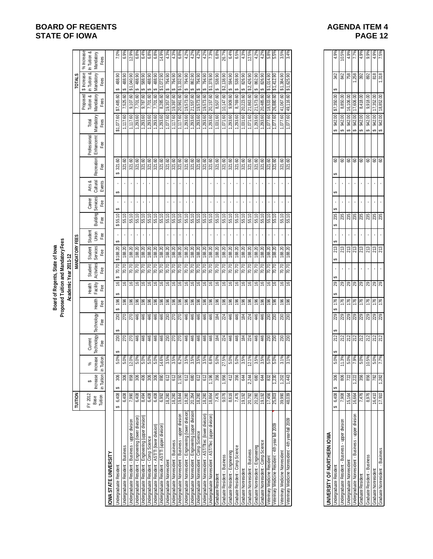# **BOARD OF REGENTS**<br> **BOARD OF REGENTS**<br> **BOARD OF IOWA**<br> **BOARD OF IOWA STATE OF IOWA**

|                                                                                               |                  |               |                                                                                                                          |                                                                                     |                                                             |                                    |                                    | Board of Regents, State of lowa | Proposed Tuition and Mandatory Fees                                               |                         |                         |                    |                              |                                                                          |                           |                                                                        |                        |                                          |                                         |
|-----------------------------------------------------------------------------------------------|------------------|---------------|--------------------------------------------------------------------------------------------------------------------------|-------------------------------------------------------------------------------------|-------------------------------------------------------------|------------------------------------|------------------------------------|---------------------------------|-----------------------------------------------------------------------------------|-------------------------|-------------------------|--------------------|------------------------------|--------------------------------------------------------------------------|---------------------------|------------------------------------------------------------------------|------------------------|------------------------------------------|-----------------------------------------|
|                                                                                               | TUITION          |               |                                                                                                                          |                                                                                     |                                                             |                                    |                                    | Academic Year 2011-12           | <b>MANDATORY FEES</b>                                                             |                         |                         |                    |                              |                                                                          |                           |                                                                        |                        | <b>TOTALS</b>                            |                                         |
|                                                                                               | FY 2012<br>Base  | Increase<br>↔ | peser:<br>ಸ್<br>을                                                                                                        | Current<br>Technology<br>Fee                                                        | Technology                                                  |                                    | Health<br>Facility<br>Fee          | Activities<br>Student           | Student<br>Services<br>Fee                                                        | Student<br>Union<br>Fee |                         | Career<br>Services | Arts &<br>Cultural<br>Events | <b>Recreation</b>                                                        | Professional<br>Enhancemt | Mandatory<br>Total                                                     | Proposed<br>Tuition &  | in Tuition &<br>\$ Increase<br>Mandatory | % Increase<br>In Tuition &<br>Mandatory |
|                                                                                               | Tuition          | in Tuition    | Tuition<br>≘.                                                                                                            |                                                                                     |                                                             | Health<br>Fee                      |                                    | Fee                             |                                                                                   |                         | Building<br>Fee         | Fee                |                              |                                                                          | Fee                       | Fees                                                                   | Mandatory<br>Fees      | Fees                                     | Fees                                    |
| <b>OWA STATE UNIVERSITY</b>                                                                   |                  |               |                                                                                                                          |                                                                                     |                                                             |                                    |                                    |                                 |                                                                                   |                         |                         |                    |                              |                                                                          |                           |                                                                        |                        |                                          |                                         |
| <b>Jndergraduate Resident</b>                                                                 | 6,408<br>မာ      | 306           | 5.0%                                                                                                                     | 230                                                                                 |                                                             | 196                                | $\overset{\circ}{\phantom{\circ}}$ | 70.70                           | \$188.20                                                                          |                         | \$55.10                 | ↮                  |                              | 321.60                                                                   |                           | \$1,077.60                                                             | \$7,485.60             | 488.90<br>↮                              | 7.0%                                    |
| Undergraduate Resident - Business - upper division<br>Undergraduate Resident - Business       | 6,408<br>7,990   | 306<br>858    | 5.0%<br>12.0%<br>5.0%                                                                                                    | $RR_{44}$                                                                           |                                                             | 9899                               | 999                                | $70.70$<br>70.70                | $\begin{array}{r}\n 188.20 \\  \hline\n 188.20 \\  \hline\n 188.20\n \end{array}$ |                         | 55.10<br>55.10          |                    |                              | $\frac{321.60}{321.60}$                                                  |                           | $\begin{array}{c} 1,117.60 \\ 1,117.60 \\ \hline \end{array}$          | 7,525.60<br>9,107.60   | 06:010'1\$                               | $\frac{6.9%}{12.9%}$                    |
| Jndergraduate Resident - Engineering (lower division)                                         | 6,408            | 306           |                                                                                                                          |                                                                                     |                                                             |                                    |                                    | 70.70                           |                                                                                   |                         | 55.10                   |                    |                              |                                                                          |                           |                                                                        | 7,701.60               | 488.90<br>↮                              |                                         |
| Jndergraduate Resident - Engineering (upper division)                                         | 8,494            | 406           |                                                                                                                          |                                                                                     |                                                             | $\frac{86}{96}$                    | ې                                  | 02.02                           | 188.20                                                                            |                         | 55.10                   |                    |                              | 321.60                                                                   |                           | 1,293.60                                                               | 0,787.60               | 588.90<br>∽                              |                                         |
| Undergraduate Resident - Comp Science                                                         | 6,408            | 306           | 5.0%<br>5.0%                                                                                                             | 446                                                                                 |                                                             |                                    | $\frac{1}{2}$                      | 70.70                           | 188.20                                                                            |                         | 55.10                   |                    |                              | 321.60                                                                   |                           | 1,293.60                                                               | 09.10/2                | 488.90<br>↮                              | $6.4%$<br>$6.8%$                        |
| Jndergraduate Resident - AST/TI (lower division)                                              | 6,408            | 306           |                                                                                                                          | 446                                                                                 |                                                             | 196                                | $\mathfrak{S}$                     | 70.70                           | 188.20                                                                            |                         | 55.10                   |                    |                              | 321.60                                                                   |                           | 1,293.60<br>1,293.60                                                   | 7,701.60               | 81,072.90                                | $\frac{6.8%}{14.9%}$                    |
| Undergraduate Resident - AST/TI (upper division)                                              | 6,992            | 890           |                                                                                                                          |                                                                                     |                                                             |                                    | 9,                                 | 02.02                           | 188.20                                                                            |                         | 55.10                   |                    |                              |                                                                          |                           |                                                                        | 8,285.60               |                                          |                                         |
| <b>Jndergraduate Nonresident</b>                                                              | 18,280           | 612           | $\frac{68}{14.6\%}$<br>$\frac{14.6\%}{3.5\%}$                                                                            |                                                                                     |                                                             |                                    | ې                                  | 07.02                           | 188.20                                                                            |                         | 55.10                   |                    |                              | 321.60                                                                   |                           | $\frac{1,077.60}{1,117.60}$                                            | 19,357.60              | 06'16/<br>↮                              | 4.3%                                    |
| Undergraduate Nonresident - Business - upper division<br>Jndergraduate Nonresident - Business | 18,280<br>19,844 | 612<br>1,150  |                                                                                                                          | <u> 잉  잉  김  홍  홍  홍  효</u>                                                         | 8 2 2 4 4 4 4 4 8 2 2 4 4 4 4 4 4 4 4                       | <u>ခြံခြံခြံခြံခြံခြံခြံခြံခြံ</u> | $\frac{16}{2}$<br>$\frac{3}{2}$    | 70.70<br>70.70                  | 188.20<br>188.20                                                                  |                         | 55.10<br>55.10          |                    | ¥,                           | 321.60                                                                   |                           | 1,117.60                                                               | 19,397.60<br>20,961.60 | 794.90<br>\$1,332.90<br>↔                | 4.3%<br>6.8%                            |
| Jndergraduate Nonresident - Engineering (lower division                                       | 18,280           | 612           | $\frac{6.2\%}{3.5\%}\n \frac{3.5\%}{3.5\%}\n \frac{3.5\%}{3.5\%}\n \frac{3.5\%}{6.8\%}\n \frac{6.8\%}{5.0\%}$            |                                                                                     |                                                             |                                    |                                    |                                 |                                                                                   |                         | 55.10                   |                    |                              | ន្ត្រី ន្ត្រី ន្ត្រី ន្ត្រី ន្ត្រី<br>ន្ត្រី ន្ត្រី ន្ត្រី ន្ត្រី ន្ត្រី |                           |                                                                        | 19,573.60              | ↮                                        |                                         |
| Jndergraduate Nonresident - Engineering (upper division                                       | 20,264           | 089           |                                                                                                                          |                                                                                     |                                                             |                                    | e e e e                            | $\frac{20.70}{70.70}$           | 188.20                                                                            |                         | $\frac{55.10}{55.10}$   |                    |                              |                                                                          |                           | $\frac{1,293.60}{1,293.60}$                                            | 21,557.60<br>19,573.60 | 794.90<br>↮                              | $4.2\%$<br>$4.2\%$                      |
| ndergraduate Nonresident - Comp Science                                                       | 18,280           | 612           |                                                                                                                          |                                                                                     |                                                             |                                    |                                    | $\frac{1}{20}$                  | 188.20                                                                            |                         |                         |                    |                              |                                                                          |                           |                                                                        |                        | 794.90<br>↮                              | 4.2%                                    |
| Indergraduate Nonresident - AST/Titec (lower division)                                        | 18,280           | 612           |                                                                                                                          |                                                                                     |                                                             |                                    |                                    | $\frac{1}{20}$                  | 188.20                                                                            |                         |                         |                    |                              |                                                                          |                           | 1,293.60                                                               | 19,573.60              | 794.90<br>↮                              | 4.2%                                    |
| Undergraduate Nonresident - AST/Tlec (upper division)                                         | 18,864           | ,196          |                                                                                                                          |                                                                                     |                                                             |                                    |                                    | 02.02                           | 188.20                                                                            |                         | 55.10                   |                    |                              |                                                                          |                           | 1,293.60                                                               | 20,157.60              | 378.90                                   | $1.3\%$                                 |
| Graduate Resident                                                                             | 7,476            | 356           |                                                                                                                          |                                                                                     |                                                             |                                    | 6                                  | 70.70                           | 188.20                                                                            |                         | 55.10                   |                    |                              | 321.60                                                                   |                           | 1,031.60                                                               | 8,507.60               | 538.90<br>G)                             | 6.8%                                    |
| Graduate Resident - Business                                                                  | 9,076            | 1,956         | 27.5%                                                                                                                    | 224                                                                                 |                                                             |                                    | $\mathfrak{g}_1$                   | 70.70                           | 188.20                                                                            |                         | 55.10                   |                    |                              | 321.60                                                                   |                           | 1,071.60                                                               | 10,147.60              | \$2,138.90                               | 26.7%                                   |
| Graduate Resident - Engineering                                                               | 8,616            | 412           |                                                                                                                          |                                                                                     |                                                             |                                    | $\frac{8}{16}$                     | 70.70                           | 188.20                                                                            |                         | 55.10                   |                    |                              | 321.60<br>321.60                                                         |                           | 1,293.60                                                               | 9,909.60               | 594.90<br>မာ                             | 6.4%                                    |
| Graduate Resident - Comp Science                                                              | 7,476            | 356           |                                                                                                                          |                                                                                     |                                                             |                                    | $\frac{6}{2}$                      | $\sqrt{0.70}$                   | 188.20                                                                            |                         | 55.10                   |                    |                              |                                                                          |                           | 1,293.60                                                               | 8,769.60               | 538.90<br>↮                              | 6.5%                                    |
| Graduate Nonresident                                                                          | 19,192           | 644           |                                                                                                                          |                                                                                     |                                                             |                                    | $\overset{\circ}{\phantom{\circ}}$ | $\frac{6}{10}$                  | 188.20                                                                            |                         | 55.10                   |                    |                              |                                                                          |                           |                                                                        | 20,223.60<br>21,863.60 | 06'927'2\$                               | $\frac{4.3\%}{12.5\%}$                  |
| Graduate Nonresident - Business                                                               | 20,792           | 2,244         | $\begin{array}{ l } \hline 5.0\% \\ \hline 5.0\% \\ \hline 3.5\% \\ \hline 12.1\% \\ \hline 3.5\% \\ \hline \end{array}$ | $\frac{1}{6}$ $\frac{1}{6}$ $\frac{1}{6}$ $\frac{1}{6}$ $\frac{1}{6}$ $\frac{1}{6}$ | $ z $ $\frac{4}{3}$ $ z $ $\frac{5}{3}$ $ z $ $\frac{4}{3}$ | 9999999                            | $\frac{6}{7}$                      |                                 | 188.20                                                                            |                         | 55.10                   |                    |                              | 321.60<br>321.60<br>321.60                                               |                           | $\begin{array}{r} 1,031.60 \\ 1,071.60 \\ \hline 1,293.60 \end{array}$ |                        |                                          |                                         |
| Sraduate Nonresident - Engineering                                                            | 20,280           | 680           |                                                                                                                          |                                                                                     |                                                             |                                    |                                    | 70.70                           | 188.20                                                                            |                         | 55.10                   |                    |                              |                                                                          |                           |                                                                        | 21,573.60              | 862.90<br>↮                              | 4.2%                                    |
| Graduate Nonresident - Comp Science                                                           | 19,192           | 644           | 3.5%                                                                                                                     | 446                                                                                 | 46                                                          | <u>\$8</u>                         | $\cong$                            | 02.02                           | 188.20                                                                            |                         | 55.10                   |                    |                              | 321.60<br>321.60                                                         |                           | $1,293.60$<br>$1,077.60$                                               | 20,485.60              | 06'928 \$                                | 4.2%                                    |
| Veterinary Medicine Resident                                                                  | 17,456           | 832           | 5.0%                                                                                                                     | <b>88</b><br>230                                                                    | នន                                                          |                                    | $\frac{9}{5}$                      | 70.70                           | 188.20                                                                            |                         | 55.10                   |                    |                              |                                                                          |                           |                                                                        | 18,533.60              | 81,014.00                                | 5.8%                                    |
| eterinary Medicine Resident - 4th year fall 2009                                              | 25,803           | 0.22°         | 960'S                                                                                                                    |                                                                                     |                                                             |                                    |                                    | 70.70                           | 188.20                                                                            |                         | 55.10                   |                    |                              | 321.60                                                                   |                           | 1,077.60                                                               | 26,880.60              | 81,412.9                                 |                                         |
| Veterinary Medicine Nonresident                                                               | 39,990           | 1,202         | 3.1%                                                                                                                     | <b>80</b><br>230                                                                    | $\frac{230}{230}$                                           | 36                                 | $\frac{9}{2}$                      | 00.70                           | 188.20                                                                            |                         | 55.10                   |                    |                              | 321.60                                                                   |                           | 1,077.60                                                               | 41,067.60              | \$1,384.90                               | 3.5%                                    |
| Veterinary Medicine Nonresident - 4th year-fall 2009                                          | 48,039           | 1,443         | 3.1%                                                                                                                     |                                                                                     |                                                             | 196                                | $\frac{6}{5}$                      | $\sqrt{2}$ .70                  | 188.20                                                                            |                         | 55.10                   |                    |                              | 321.60                                                                   |                           | 1,077.60                                                               | 49,116.60              | \$1,625.90                               | 3.4%                                    |
|                                                                                               |                  |               |                                                                                                                          |                                                                                     |                                                             |                                    |                                    |                                 |                                                                                   |                         |                         |                    |                              |                                                                          |                           |                                                                        |                        |                                          |                                         |
|                                                                                               |                  |               |                                                                                                                          |                                                                                     |                                                             |                                    |                                    |                                 |                                                                                   |                         |                         |                    |                              |                                                                          |                           |                                                                        |                        |                                          |                                         |
|                                                                                               |                  |               |                                                                                                                          |                                                                                     |                                                             |                                    |                                    |                                 |                                                                                   |                         |                         |                    |                              |                                                                          |                           |                                                                        |                        |                                          |                                         |
| UNIVERSITY OF NORTHERN IOWA                                                                   |                  |               |                                                                                                                          |                                                                                     |                                                             |                                    |                                    |                                 |                                                                                   |                         |                         |                    |                              |                                                                          |                           |                                                                        |                        |                                          |                                         |
| Undergraduate Resident                                                                        | \$6,408          | 306<br>G,     |                                                                                                                          | 212                                                                                 |                                                             | \$ 176                             | 29                                 |                                 | 213                                                                               | မာ                      | 235                     |                    | မာ                           | 8                                                                        |                           | 942.00<br>မာ                                                           | 57,350.00              | 342                                      | 4.9%                                    |
| Undergraduate Resident - Business - upper division                                            | 7,908            | 806           |                                                                                                                          |                                                                                     |                                                             | 176                                |                                    |                                 | 213                                                                               |                         |                         |                    |                              |                                                                          |                           | 69                                                                     | 8,850.00               |                                          | 10.5%                                   |
| Undergraduate Nonresident                                                                     | 15,164           | 722           |                                                                                                                          |                                                                                     |                                                             |                                    |                                    |                                 | 213                                                                               |                         |                         |                    |                              | 888                                                                      |                           | 942.00<br>942.00<br>942.00<br>↮                                        | 16,106.00              | 842<br>758                               | 4.9%                                    |
| Undergraduate Nonresident - Business - upper division                                         | 16,664           | ,222          |                                                                                                                          | $\frac{21}{212}$ $\frac{21}{212}$                                                   |                                                             | 176                                |                                    |                                 |                                                                                   |                         | 235<br>235<br>235       |                    |                              |                                                                          |                           | $\bullet$                                                              | 17,606.00              |                                          | 7.7%                                    |
| Graduate Resident                                                                             | 1,476            | 356           |                                                                                                                          |                                                                                     |                                                             | 176                                |                                    |                                 | 213                                                                               |                         |                         |                    |                              | <b>S</b>                                                                 |                           | 942.00<br>Ø                                                            | 8,418.00               | 392                                      | 4.9%                                    |
| Graduate Resident - Business                                                                  | 8,976            | 856           |                                                                                                                          |                                                                                     |                                                             | 176                                |                                    |                                 |                                                                                   |                         |                         |                    |                              |                                                                          |                           | 00'766<br>↮                                                            | 9,918.00               | 892                                      | 9.9%                                    |
| Graduate Nonresident                                                                          | 16,410           | 782           |                                                                                                                          | 212<br>212                                                                          | ន នន្ត្រី នន្ត្រី នូ <mark>ន</mark> នូ                      | 176                                | ន $ R $ ន $ R $ ន $ R $ ន          |                                 | $\frac{25}{25}$                                                                   |                         | <b>35</b><br>235<br>235 |                    |                              | 888                                                                      |                           | 942.00<br>မာမာ                                                         | 17,352.00              | 818                                      | 4.9%<br>7.5%                            |
| <b>Sraduate Nonresident - Business</b>                                                        | 06'41            | .282          |                                                                                                                          |                                                                                     |                                                             |                                    |                                    |                                 |                                                                                   |                         |                         |                    |                              |                                                                          |                           |                                                                        |                        |                                          |                                         |

| VERSITY OF NORTHERN IOW                           |                  |      |      |     |          |     |    |   |     |     |   |    |         |             |                   |      |                     |  |
|---------------------------------------------------|------------------|------|------|-----|----------|-----|----|---|-----|-----|---|----|---------|-------------|-------------------|------|---------------------|--|
| rgraduate Resident                                | $5,408$   $\sim$ | 306. | 5.0% | 212 | 229<br>A | 176 | ಔ  |   | 213 | 235 |   | မာ | ටි<br>Ą | 942.00<br>A | 0.00<br>350<br>52 | 342  | 4.9%                |  |
| rgraduate Resident - Business - upper division    | /,908            | ဧ    | 1.3% | 212 | 229      | 176 | 29 | , | 213 | 235 | , |    | ටි      | 942.00      | ຮຸ<br>8,850.      | 842  | 10.5%               |  |
| rgraduate Nonresider                              | 15,164           |      | 5.0% | 212 | 229      | 176 | 29 | ı | 213 | 235 | ٠ |    | ටි      | 942.00      | 106.00<br>16.7    | 758  | $\frac{4.9%}{7.7%}$ |  |
| rgraduate Nonresident - Business - upper division | 16,664           |      | 7.9% | 212 | 29       | 176 | 29 |   | 213 | 235 |   |    | ඝ       | 942.00      | ,606.00<br>ŗ      | ,258 |                     |  |
| aduate Resident                                   | /,476            | Š    | 5.0% | 212 | 29       | 176 | 29 |   | 213 | 235 |   |    | 8       | 942.00      | 8,418.00          | 392  | $4.9%$<br>9.9%      |  |
| uate Resident - Business                          | 8,976            | 56   | 0.5% | 212 | 229      | 176 | 29 | ٠ | 213 | 235 |   |    | ටි      | 942.00      | 9,918.00          | 892  |                     |  |
| uate Nonresident                                  | 16,410           |      | 5.0% | 212 | 229      | 176 | 29 |   | 213 | 235 |   |    | ටි      | 942.00      | ,352.00<br>ľ      | 818  | 4.9%                |  |
| lonresident - Business<br>late No                 | 7,910            | .282 | 7.7% | 212 | 229      | 176 | 29 |   | 213 | 235 |   |    | ටි      | 942.00      | 18,852.00         | 318  | 7.5%                |  |
|                                                   |                  |      |      |     |          |     |    |   |     |     |   |    |         |             |                   |      |                     |  |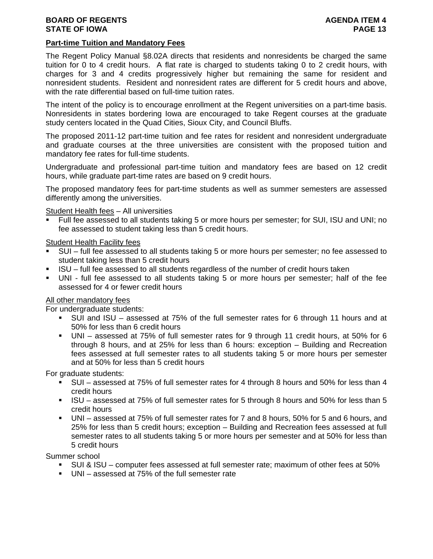# **BOARD OF REGENTS AGENTS** AGENDA ITEM 4 **STATE OF IOWA PAGE 13**

# **Part-time Tuition and Mandatory Fees**

The Regent Policy Manual §8.02A directs that residents and nonresidents be charged the same tuition for 0 to 4 credit hours. A flat rate is charged to students taking 0 to 2 credit hours, with charges for 3 and 4 credits progressively higher but remaining the same for resident and nonresident students. Resident and nonresident rates are different for 5 credit hours and above, with the rate differential based on full-time tuition rates.

The intent of the policy is to encourage enrollment at the Regent universities on a part-time basis. Nonresidents in states bordering Iowa are encouraged to take Regent courses at the graduate study centers located in the Quad Cities, Sioux City, and Council Bluffs.

The proposed 2011-12 part-time tuition and fee rates for resident and nonresident undergraduate and graduate courses at the three universities are consistent with the proposed tuition and mandatory fee rates for full-time students.

Undergraduate and professional part-time tuition and mandatory fees are based on 12 credit hours, while graduate part-time rates are based on 9 credit hours.

The proposed mandatory fees for part-time students as well as summer semesters are assessed differently among the universities.

### Student Health fees – All universities

 Full fee assessed to all students taking 5 or more hours per semester; for SUI, ISU and UNI; no fee assessed to student taking less than 5 credit hours.

### Student Health Facility fees

- SUI full fee assessed to all students taking 5 or more hours per semester; no fee assessed to student taking less than 5 credit hours
- ISU full fee assessed to all students regardless of the number of credit hours taken
- UNI full fee assessed to all students taking 5 or more hours per semester; half of the fee assessed for 4 or fewer credit hours

### All other mandatory fees

For undergraduate students:

- SUI and ISU assessed at 75% of the full semester rates for 6 through 11 hours and at 50% for less than 6 credit hours
- UNI assessed at 75% of full semester rates for 9 through 11 credit hours, at 50% for 6 through 8 hours, and at 25% for less than 6 hours: exception – Building and Recreation fees assessed at full semester rates to all students taking 5 or more hours per semester and at 50% for less than 5 credit hours

For graduate students:

- SUI assessed at 75% of full semester rates for 4 through 8 hours and 50% for less than 4 credit hours
- ISU assessed at 75% of full semester rates for 5 through 8 hours and 50% for less than 5 credit hours
- UNI assessed at 75% of full semester rates for 7 and 8 hours, 50% for 5 and 6 hours, and 25% for less than 5 credit hours; exception – Building and Recreation fees assessed at full semester rates to all students taking 5 or more hours per semester and at 50% for less than 5 credit hours

Summer school

- SUI & ISU computer fees assessed at full semester rate; maximum of other fees at 50%
- UNI assessed at 75% of the full semester rate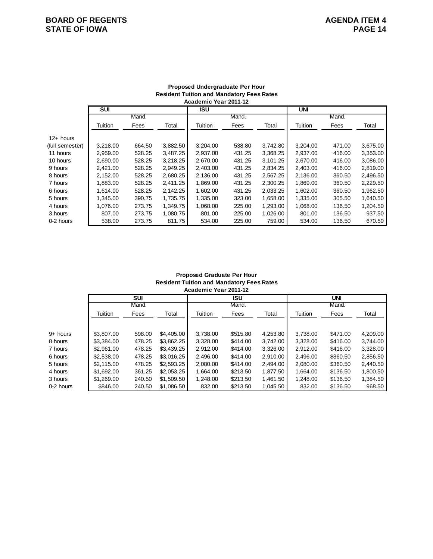# **BOARD OF REGENTS**<br> **BOARD OF REGENTS**<br> **BOARD OF IOWA**<br>
PAGE 14 **STATE OF IOWA**

|                 | <b>SUI</b> |        |          | ISU      |        |          | <b>UNI</b> |        |          |
|-----------------|------------|--------|----------|----------|--------|----------|------------|--------|----------|
|                 |            | Mand.  |          |          | Mand.  |          |            | Mand.  |          |
|                 | Tuition    | Fees   | Total    | Tuition  | Fees   | Total    | Tuition    | Fees   | Total    |
| $12+$ hours     |            |        |          |          |        |          |            |        |          |
| (full semester) | 3,218.00   | 664.50 | 3,882.50 | 3,204.00 | 538.80 | 3,742.80 | 3.204.00   | 471.00 | 3,675.00 |
| 11 hours        | 2,959.00   | 528.25 | 3,487.25 | 2,937.00 | 431.25 | 3,368.25 | 2.937.00   | 416.00 | 3,353.00 |
| 10 hours        | 2.690.00   | 528.25 | 3,218.25 | 2.670.00 | 431.25 | 3.101.25 | 2.670.00   | 416.00 | 3,086.00 |
| 9 hours         | 2.421.00   | 528.25 | 2.949.25 | 2.403.00 | 431.25 | 2.834.25 | 2.403.00   | 416.00 | 2,819.00 |
| 8 hours         | 2,152.00   | 528.25 | 2,680.25 | 2,136.00 | 431.25 | 2,567.25 | 2,136.00   | 360.50 | 2,496.50 |
| 7 hours         | 1.883.00   | 528.25 | 2,411.25 | 1.869.00 | 431.25 | 2.300.25 | 1.869.00   | 360.50 | 2,229.50 |
| 6 hours         | 1,614.00   | 528.25 | 2,142.25 | 1,602.00 | 431.25 | 2,033.25 | 1,602.00   | 360.50 | 1,962.50 |
| 5 hours         | 1,345.00   | 390.75 | 1,735.75 | 1,335.00 | 323.00 | 1,658.00 | 1,335.00   | 305.50 | 1,640.50 |
| 4 hours         | 1.076.00   | 273.75 | 1.349.75 | 1.068.00 | 225.00 | 1.293.00 | 1.068.00   | 136.50 | 1,204.50 |
| 3 hours         | 807.00     | 273.75 | 1,080.75 | 801.00   | 225.00 | 1,026.00 | 801.00     | 136.50 | 937.50   |
| 0-2 hours       | 538.00     | 273.75 | 811.75   | 534.00   | 225.00 | 759.00   | 534.00     | 136.50 | 670.50   |

### **Proposed Undergraduate Per Hour Resident Tuition and Mandatory Fees Rates Academic Year 2011-12**

### **Academic Year 2011-12 Proposed Graduate Per Hour Resident Tuition and Mandatory Fees Rates**

|           |            | SUI    |            |          | ISU      |          |          | UNI      |          |
|-----------|------------|--------|------------|----------|----------|----------|----------|----------|----------|
|           |            | Mand.  |            |          | Mand.    |          |          | Mand.    |          |
|           | Tuition    | Fees   | Total      | Tuition  | Fees     | Total    | Tuition  | Fees     | Total    |
|           |            |        |            |          |          |          |          |          |          |
| 9+ hours  | \$3,807.00 | 598.00 | \$4,405,00 | 3.738.00 | \$515.80 | 4,253.80 | 3.738.00 | \$471.00 | 4,209.00 |
| 8 hours   | \$3,384.00 | 478.25 | \$3,862.25 | 3.328.00 | \$414.00 | 3.742.00 | 3.328.00 | \$416.00 | 3,744.00 |
| 7 hours   | \$2,961.00 | 478.25 | \$3,439.25 | 2,912.00 | \$414.00 | 3,326.00 | 2,912.00 | \$416.00 | 3,328.00 |
| 6 hours   | \$2,538,00 | 478.25 | \$3,016.25 | 2.496.00 | \$414.00 | 2.910.00 | 2.496.00 | \$360.50 | 2,856.50 |
| 5 hours   | \$2,115,00 | 478.25 | \$2,593.25 | 2.080.00 | \$414.00 | 2.494.00 | 2.080.00 | \$360.50 | 2,440.50 |
| 4 hours   | \$1,692,00 | 361.25 | \$2,053.25 | 1.664.00 | \$213.50 | 1,877.50 | 1.664.00 | \$136.50 | 1,800.50 |
| 3 hours   | \$1,269.00 | 240.50 | \$1,509.50 | 1.248.00 | \$213.50 | 1.461.50 | 1.248.00 | \$136.50 | 1,384.50 |
| 0-2 hours | \$846.00   | 240.50 | \$1,086.50 | 832.00   | \$213.50 | 1,045.50 | 832.00   | \$136.50 | 968.50   |
|           |            |        |            |          |          |          |          |          |          |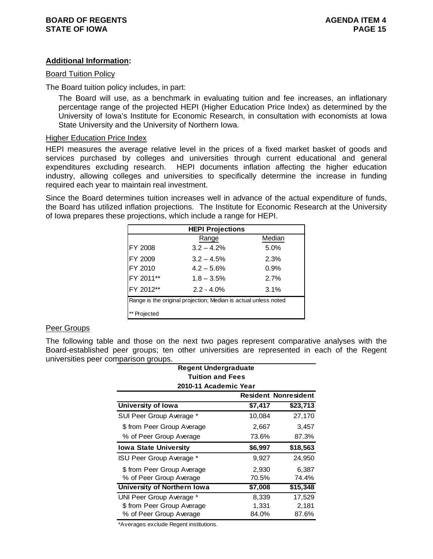# **Additional Information:**

### Board Tuition Policy

The Board tuition policy includes, in part:

The Board will use, as a benchmark in evaluating tuition and fee increases, an inflationary percentage range of the projected HEPI (Higher Education Price Index) as determined by the University of Iowa's Institute for Economic Research, in consultation with economists at Iowa State University and the University of Northern Iowa.

### Higher Education Price Index

HEPI measures the average relative level in the prices of a fixed market basket of goods and services purchased by colleges and universities through current educational and general expenditures excluding research. HEPI documents inflation affecting the higher education industry, allowing colleges and universities to specifically determine the increase in funding required each year to maintain real investment.

Since the Board determines tuition increases well in advance of the actual expenditure of funds, the Board has utilized inflation projections. The Institute for Economic Research at the University of Iowa prepares these projections, which include a range for HEPI.

| <b>HEPI Projections</b>                                         |               |        |  |  |  |
|-----------------------------------------------------------------|---------------|--------|--|--|--|
|                                                                 | Range         | Median |  |  |  |
| FY 2008                                                         | $3.2 - 4.2%$  | 5.0%   |  |  |  |
| FY 2009                                                         | $3.2 - 4.5%$  | 2.3%   |  |  |  |
| FY 2010                                                         | $4.2 - 5.6%$  | 0.9%   |  |  |  |
| FY 2011**                                                       | $1.8 - 3.5\%$ | 2.7%   |  |  |  |
| FY 2012**                                                       | $2.2 - 4.0\%$ | 3.1%   |  |  |  |
| Range is the original projection; Median is actual unless noted |               |        |  |  |  |
| Projected                                                       |               |        |  |  |  |

### Peer Groups

The following table and those on the next two pages represent comparative analyses with the Board-established peer groups; ten other universities are represented in each of the Regent universities peer comparison groups.

| πραπουπ γιυαρο.                                                          |         |          |  |  |  |  |  |                    |         |                             |
|--------------------------------------------------------------------------|---------|----------|--|--|--|--|--|--------------------|---------|-----------------------------|
| Regent Undergraduate<br><b>Tuition and Fees</b><br>2010-11 Academic Year |         |          |  |  |  |  |  |                    |         |                             |
|                                                                          |         |          |  |  |  |  |  |                    |         | <b>Resident Nonresident</b> |
|                                                                          |         |          |  |  |  |  |  | University of Iowa | \$7,417 | \$23,713                    |
| SUI Peer Group Average *                                                 | 10,084  | 27,170   |  |  |  |  |  |                    |         |                             |
| \$ from Peer Group Average                                               | 2,667   | 3,457    |  |  |  |  |  |                    |         |                             |
| % of Peer Group Average                                                  | 73.6%   | 87.3%    |  |  |  |  |  |                    |         |                             |
| <b>Iowa State University</b>                                             | \$6,997 | \$18,563 |  |  |  |  |  |                    |         |                             |
| ISU Peer Group Average *                                                 | 9,927   | 24,950   |  |  |  |  |  |                    |         |                             |
| \$ from Peer Group Average                                               | 2,930   | 6,387    |  |  |  |  |  |                    |         |                             |
| % of Peer Group Average                                                  | 70.5%   | 74.4%    |  |  |  |  |  |                    |         |                             |
| University of Northern Iowa                                              | \$7,008 | \$15,348 |  |  |  |  |  |                    |         |                             |
| UNI Peer Group Average *                                                 | 8,339   | 17,529   |  |  |  |  |  |                    |         |                             |
| \$ from Peer Group Average                                               | 1,331   | 2,181    |  |  |  |  |  |                    |         |                             |
| % of Peer Group Average                                                  | 84.0%   | 87.6%    |  |  |  |  |  |                    |         |                             |

\*Averages exclude Regent institutions.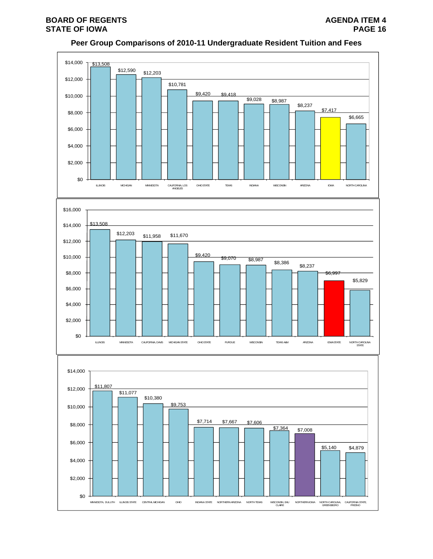# **Peer Group Comparisons of 2010-11 Undergraduate Resident Tuition and Fees**

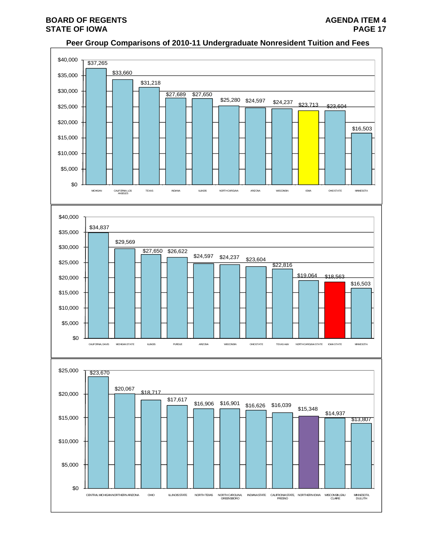# **BOARD OF REGENTS AGENUS AGENDA ITEM 4 STATE OF IOWA** PAGE 17

## **Peer Group Comparisons of 2010-11 Undergraduate Nonresident Tuition and Fees**